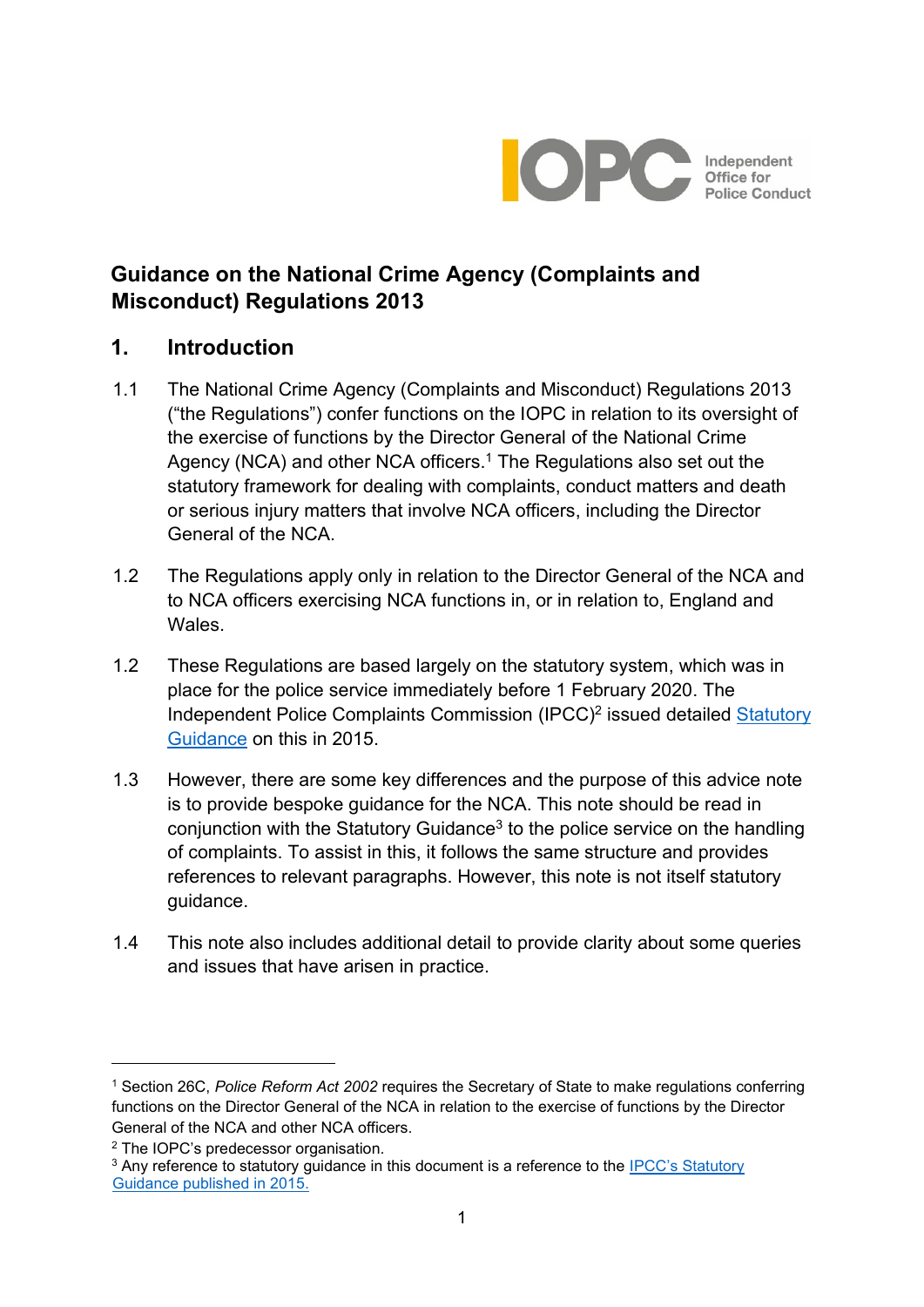

# **Guidance on the National Crime Agency (Complaints and Misconduct) Regulations 2013**

# **1. Introduction**

- 1.1 The National Crime Agency (Complaints and Misconduct) Regulations 2013 ("the Regulations") confer functions on the IOPC in relation to its oversight of the exercise of functions by the Director General of the National Crime Agency (NCA) and other NCA officers.<sup>1</sup> The Regulations also set out the statutory framework for dealing with complaints, conduct matters and death or serious injury matters that involve NCA officers, including the Director General of the NCA.
- 1.2 The Regulations apply only in relation to the Director General of the NCA and to NCA officers exercising NCA functions in, or in relation to, England and Wales.
- 1.2 These Regulations are based largely on the statutory system, which was in place for the police service immediately before 1 February 2020. The Independent Police Complaints Commission (IPCC)<sup>2</sup> issued detailed **Statutory** [Guidance](https://policeconduct.gov.uk/sites/default/files/Documents/statutoryguidance/2015_statutory_guidance_english.pdf) on this in 201[5.](http://www.ipcc.gov.uk/page/statutory-guidance)
- 1.3 However, there are some key differences and the purpose of this advice note is to provide bespoke guidance for the NCA. This note should be read in conjunction with the Statutory Guidance<sup>3</sup> to the police service on the handling of complaints. To assist in this, it follows the same structure and provides references to relevant paragraphs. However, this note is not itself statutory guidance.
- 1.4 This note also includes additional detail to provide clarity about some queries and issues that have arisen in practice.

<sup>1</sup> Section 26C, *Police Reform Act 2002* requires the Secretary of State to make regulations conferring functions on the Director General of the NCA in relation to the exercise of functions by the Director General of the NCA and other NCA officers.

<sup>2</sup> The IOPC's predecessor organisation.

<sup>&</sup>lt;sup>3</sup> Any reference to statutory quidance in this document is a reference to the IPCC's Statutory [Guidance published in 2015.](https://policeconduct.gov.uk/sites/default/files/Documents/statutoryguidance/2015_statutory_guidance_english.pdf)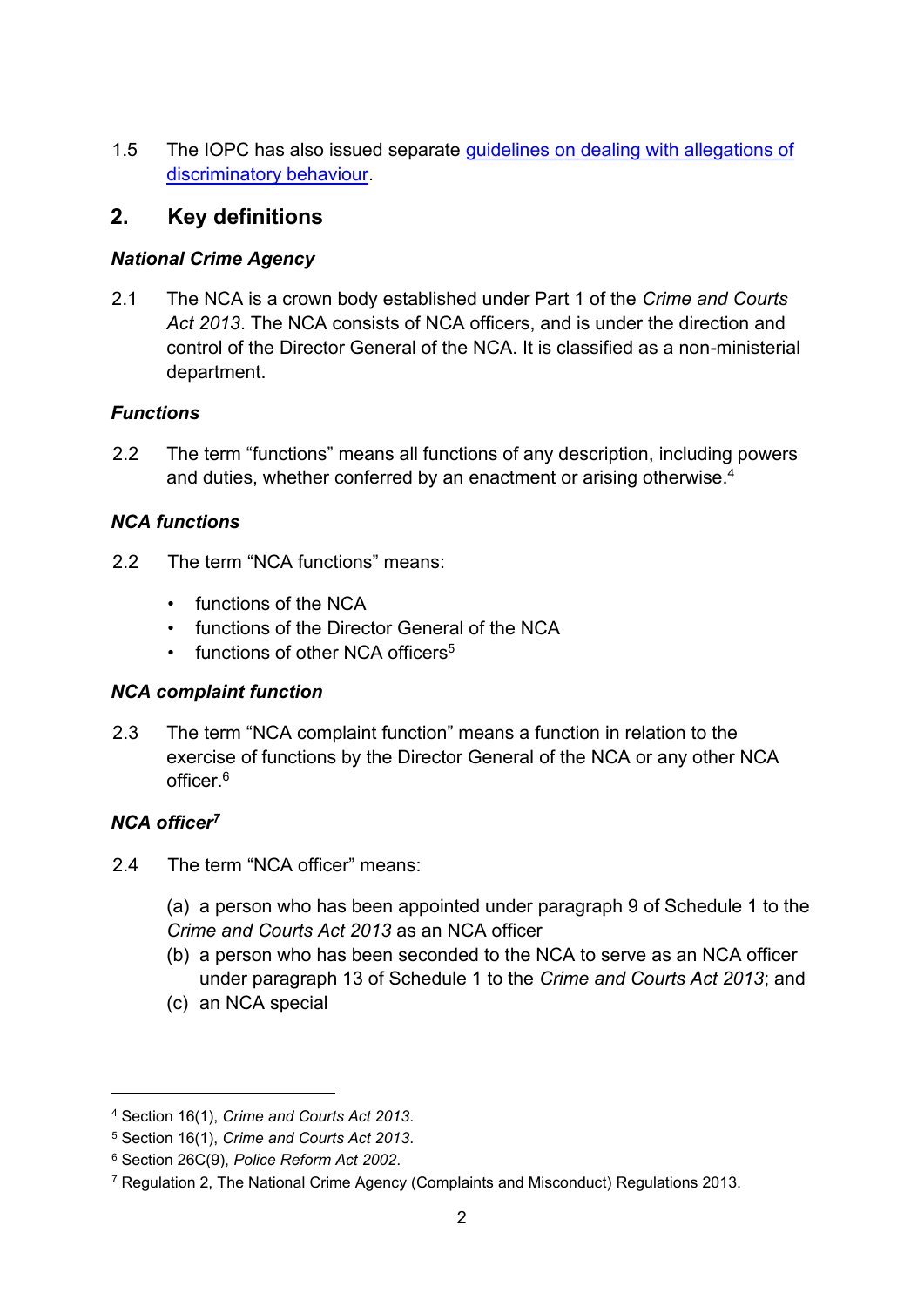1.5 The IOPC has also issued separate [guidelines on dealing with allegations of](http://www.ipcc.gov.uk/page/statutory-guidance) [discriminatory behaviour.](http://www.ipcc.gov.uk/page/statutory-guidance) 

# **2. Key definitions**

### *National Crime Agency*

2.1 The NCA is a crown body established under Part 1 of the *Crime and Courts Act 2013*. The NCA consists of NCA officers, and is under the direction and control of the Director General of the NCA. It is classified as a non-ministerial department.

### *Functions*

2.2 The term "functions" means all functions of any description, including powers and duties, whether conferred by an enactment or arising otherwise.<sup>4</sup>

# *NCA functions*

- 2.2 The term "NCA functions" means:
	- functions of the NCA
	- functions of the Director General of the NCA
	- functions of other NCA officers<sup>5</sup>

### *NCA complaint function*

2.3 The term "NCA complaint function" means a function in relation to the exercise of functions by the Director General of the NCA or any other NCA officer.<sup>6</sup>

# *NCA officer<sup>7</sup>*

- 2.4 The term "NCA officer" means:
	- (a) a person who has been appointed under paragraph 9 of Schedule 1 to the *Crime and Courts Act 2013* as an NCA officer
	- (b) a person who has been seconded to the NCA to serve as an NCA officer under paragraph 13 of Schedule 1 to the *Crime and Courts Act 2013*; and
	- (c) an NCA special

<sup>4</sup> Section 16(1), *Crime and Courts Act 2013*.

<sup>5</sup> Section 16(1), *Crime and Courts Act 2013*.

<sup>6</sup> Section 26C(9), *Police Reform Act 2002*.

<sup>7</sup> Regulation 2, The National Crime Agency (Complaints and Misconduct) Regulations 2013.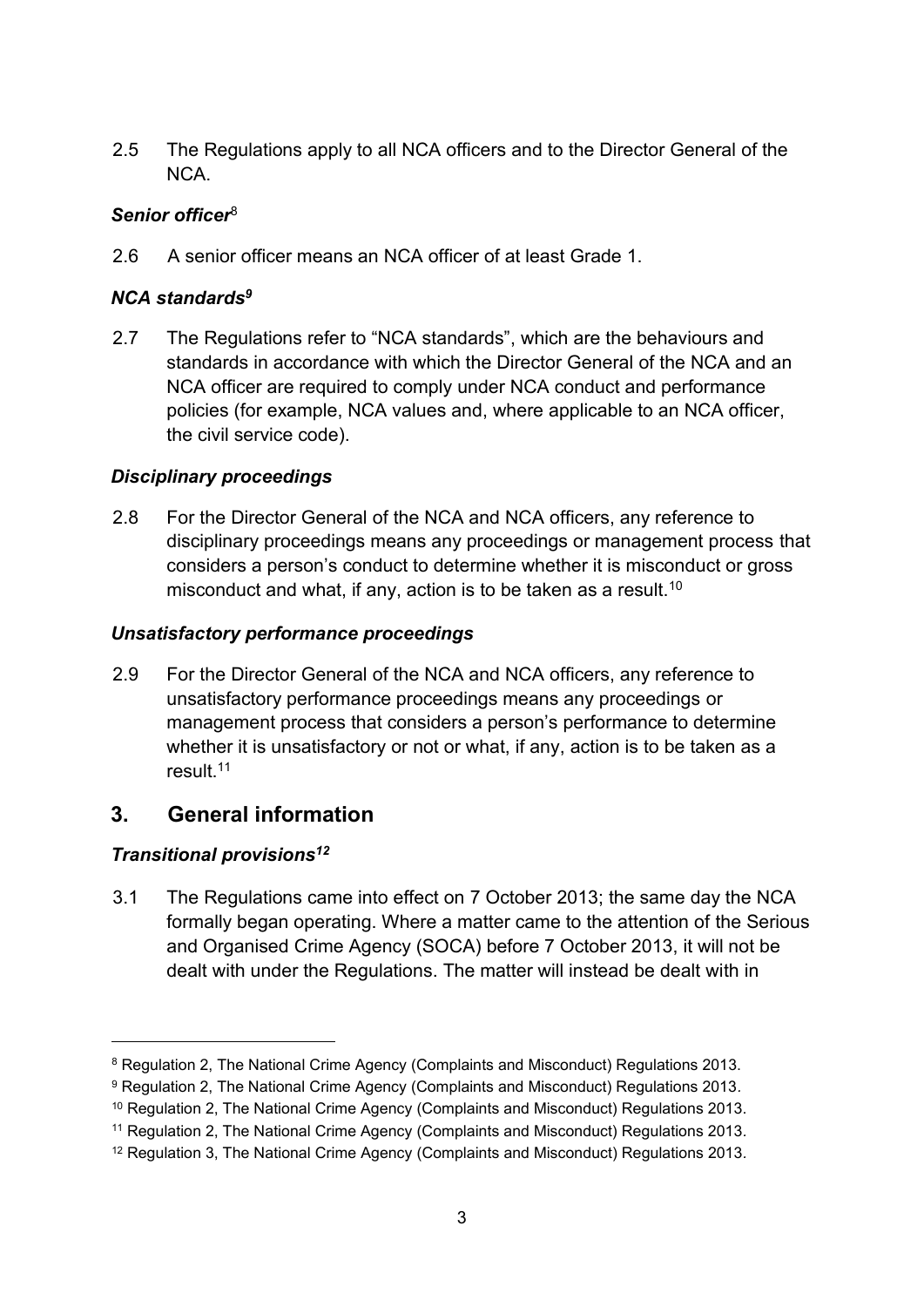2.5 The Regulations apply to all NCA officers and to the Director General of the NCA.

### *Senior officer*<sup>8</sup>

2.6 A senior officer means an NCA officer of at least Grade 1.

### *NCA standards<sup>9</sup>*

2.7 The Regulations refer to "NCA standards", which are the behaviours and standards in accordance with which the Director General of the NCA and an NCA officer are required to comply under NCA conduct and performance policies (for example, NCA values and, where applicable to an NCA officer, the civil service code).

### *Disciplinary proceedings*

2.8 For the Director General of the NCA and NCA officers, any reference to disciplinary proceedings means any proceedings or management process that considers a person's conduct to determine whether it is misconduct or gross misconduct and what, if any, action is to be taken as a result.<sup>10</sup>

### *Unsatisfactory performance proceedings*

2.9 For the Director General of the NCA and NCA officers, any reference to unsatisfactory performance proceedings means any proceedings or management process that considers a person's performance to determine whether it is unsatisfactory or not or what, if any, action is to be taken as a result.<sup>11</sup>

# **3. General information**

### *Transitional provisions<sup>12</sup>*

3.1 The Regulations came into effect on 7 October 2013; the same day the NCA formally began operating. Where a matter came to the attention of the Serious and Organised Crime Agency (SOCA) before 7 October 2013, it will not be dealt with under the Regulations. The matter will instead be dealt with in

<sup>8</sup> Regulation 2, The National Crime Agency (Complaints and Misconduct) Regulations 2013.

<sup>9</sup> Regulation 2, The National Crime Agency (Complaints and Misconduct) Regulations 2013*.*

<sup>10</sup> Regulation 2, The National Crime Agency (Complaints and Misconduct) Regulations 2013.

<sup>11</sup> Regulation 2, The National Crime Agency (Complaints and Misconduct) Regulations 2013*.*

<sup>12</sup> Regulation 3, The National Crime Agency (Complaints and Misconduct) Regulations 2013*.*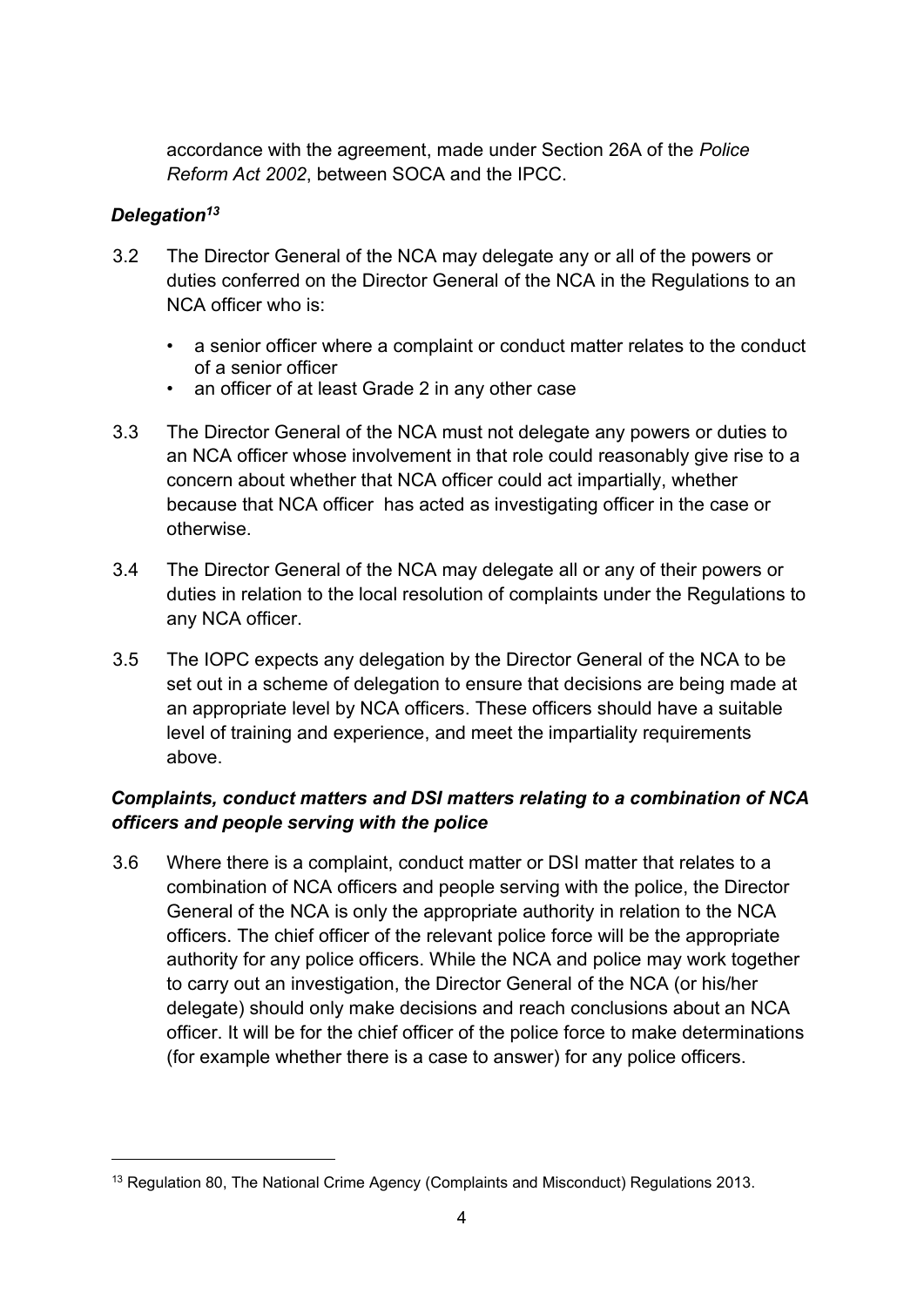accordance with the agreement, made under Section 26A of the *Police Reform Act 2002*, between SOCA and the IPCC.

### *Delegation<sup>13</sup>*

- 3.2 The Director General of the NCA may delegate any or all of the powers or duties conferred on the Director General of the NCA in the Regulations to an NCA officer who is:
	- a senior officer where a complaint or conduct matter relates to the conduct of a senior officer
	- an officer of at least Grade 2 in any other case
- 3.3 The Director General of the NCA must not delegate any powers or duties to an NCA officer whose involvement in that role could reasonably give rise to a concern about whether that NCA officer could act impartially, whether because that NCA officer has acted as investigating officer in the case or otherwise.
- 3.4 The Director General of the NCA may delegate all or any of their powers or duties in relation to the local resolution of complaints under the Regulations to any NCA officer.
- 3.5 The IOPC expects any delegation by the Director General of the NCA to be set out in a scheme of delegation to ensure that decisions are being made at an appropriate level by NCA officers. These officers should have a suitable level of training and experience, and meet the impartiality requirements above.

# *Complaints, conduct matters and DSI matters relating to a combination of NCA officers and people serving with the police*

3.6 Where there is a complaint, conduct matter or DSI matter that relates to a combination of NCA officers and people serving with the police, the Director General of the NCA is only the appropriate authority in relation to the NCA officers. The chief officer of the relevant police force will be the appropriate authority for any police officers. While the NCA and police may work together to carry out an investigation, the Director General of the NCA (or his/her delegate) should only make decisions and reach conclusions about an NCA officer. It will be for the chief officer of the police force to make determinations (for example whether there is a case to answer) for any police officers.

<sup>&</sup>lt;sup>13</sup> Regulation 80, The National Crime Agency (Complaints and Misconduct) Regulations 2013.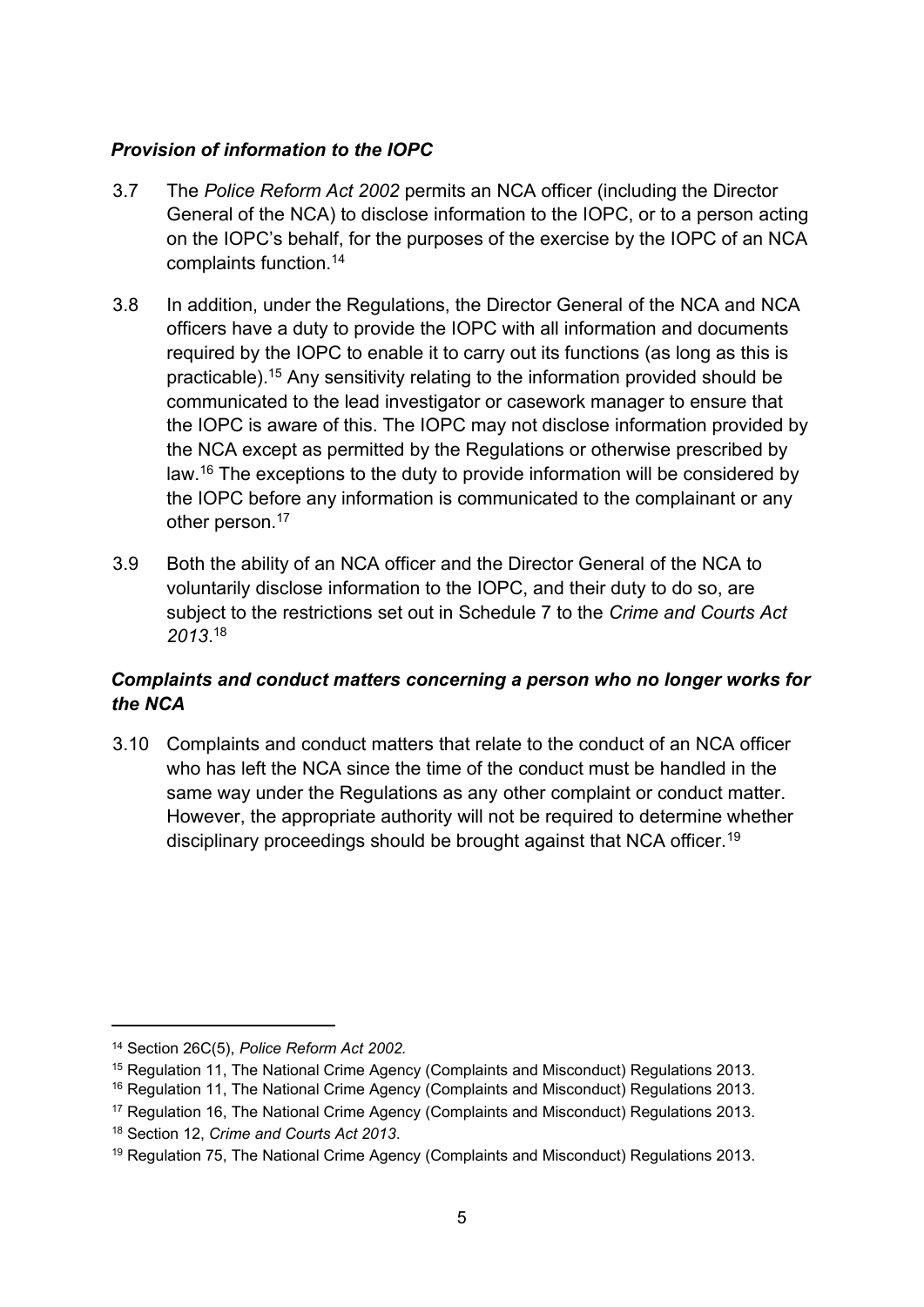### *Provision of information to the IOPC*

- 3.7 The *Police Reform Act 2002* permits an NCA officer (including the Director General of the NCA) to disclose information to the IOPC, or to a person acting on the IOPC's behalf, for the purposes of the exercise by the IOPC of an NCA complaints function.<sup>14</sup>
- 3.8 In addition, under the Regulations, the Director General of the NCA and NCA officers have a duty to provide the IOPC with all information and documents required by the IOPC to enable it to carry out its functions (as long as this is practicable).<sup>15</sup> Any sensitivity relating to the information provided should be communicated to the lead investigator or casework manager to ensure that the IOPC is aware of this. The IOPC may not disclose information provided by the NCA except as permitted by the Regulations or otherwise prescribed by law.<sup>16</sup> The exceptions to the duty to provide information will be considered by the IOPC before any information is communicated to the complainant or any other person.<sup>17</sup>
- 3.9 Both the ability of an NCA officer and the Director General of the NCA to voluntarily disclose information to the IOPC, and their duty to do so, are subject to the restrictions set out in Schedule 7 to the *Crime and Courts Act 2013*. 18

### *Complaints and conduct matters concerning a person who no longer works for the NCA*

3.10 Complaints and conduct matters that relate to the conduct of an NCA officer who has left the NCA since the time of the conduct must be handled in the same way under the Regulations as any other complaint or conduct matter. However, the appropriate authority will not be required to determine whether disciplinary proceedings should be brought against that NCA officer.<sup>19</sup>

<sup>14</sup> Section 26C(5), *Police Reform Act 2002.*

<sup>15</sup> Regulation 11, The National Crime Agency (Complaints and Misconduct) Regulations 2013.

<sup>&</sup>lt;sup>16</sup> Regulation 11, The National Crime Agency (Complaints and Misconduct) Regulations 2013.

<sup>17</sup> Regulation 16, The National Crime Agency (Complaints and Misconduct) Regulations 2013.

<sup>18</sup> Section 12, *Crime and Courts Act 2013*.

<sup>&</sup>lt;sup>19</sup> Regulation 75, The National Crime Agency (Complaints and Misconduct) Regulations 2013.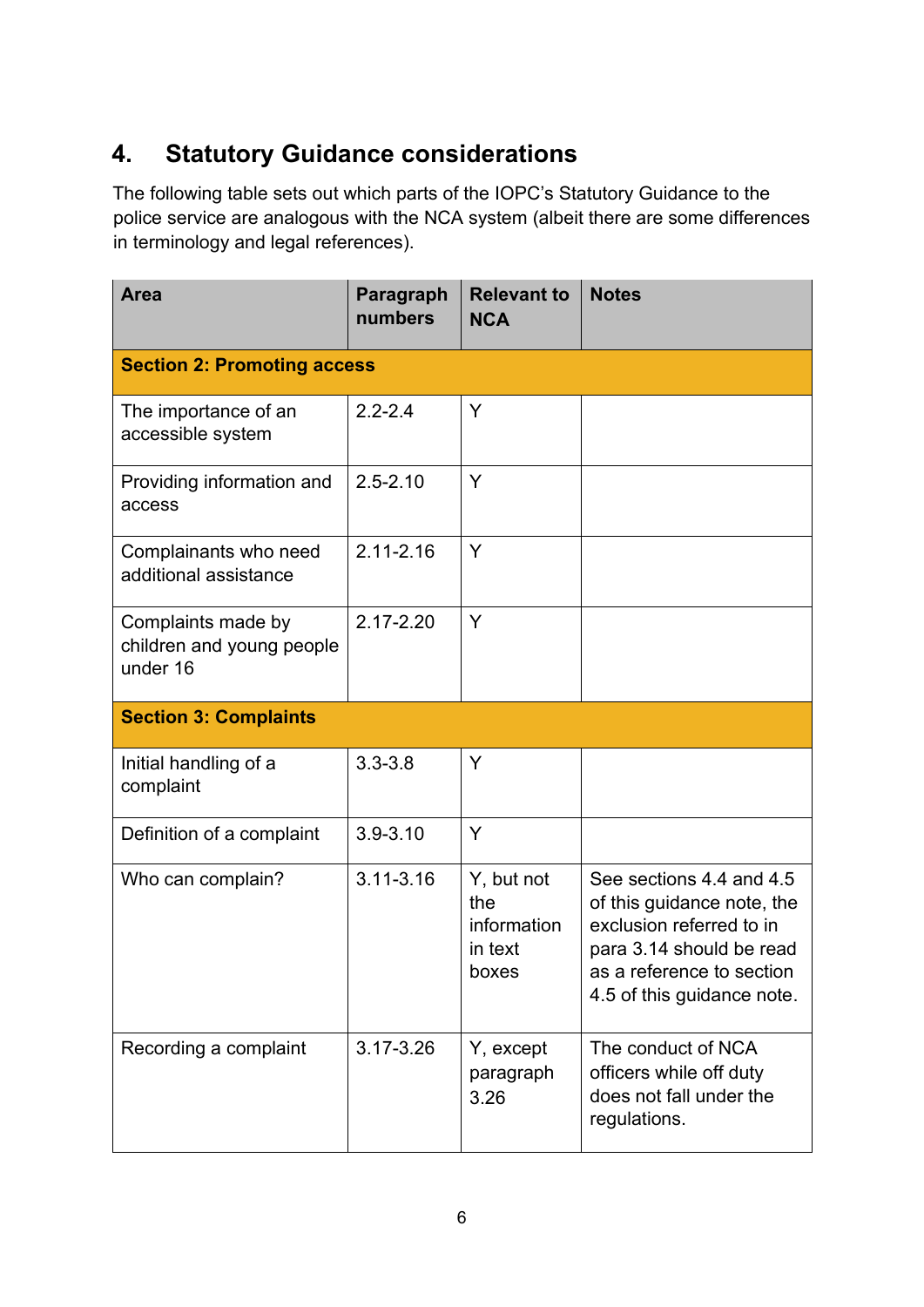# **4. Statutory Guidance considerations**

The following table sets out which parts of the IOPC's Statutory Guidance to the police service are analogous with the NCA system (albeit there are some differences in terminology and legal references).

| <b>Area</b>                                                 | Paragraph<br>numbers | <b>Relevant to</b><br><b>NCA</b>                     | <b>Notes</b>                                                                                                                                                              |
|-------------------------------------------------------------|----------------------|------------------------------------------------------|---------------------------------------------------------------------------------------------------------------------------------------------------------------------------|
| <b>Section 2: Promoting access</b>                          |                      |                                                      |                                                                                                                                                                           |
| The importance of an<br>accessible system                   | $2.2 - 2.4$          | Y                                                    |                                                                                                                                                                           |
| Providing information and<br>access                         | $2.5 - 2.10$         | Y                                                    |                                                                                                                                                                           |
| Complainants who need<br>additional assistance              | $2.11 - 2.16$        | Y                                                    |                                                                                                                                                                           |
| Complaints made by<br>children and young people<br>under 16 | 2.17-2.20            | Y                                                    |                                                                                                                                                                           |
| <b>Section 3: Complaints</b>                                |                      |                                                      |                                                                                                                                                                           |
| Initial handling of a<br>complaint                          | $3.3 - 3.8$          | Y                                                    |                                                                                                                                                                           |
| Definition of a complaint                                   | $3.9 - 3.10$         | Y                                                    |                                                                                                                                                                           |
| Who can complain?                                           | $3.11 - 3.16$        | Y, but not<br>the<br>information<br>in text<br>boxes | See sections 4.4 and 4.5<br>of this guidance note, the<br>exclusion referred to in<br>para 3.14 should be read<br>as a reference to section<br>4.5 of this guidance note. |
| Recording a complaint                                       | 3.17-3.26            | Y, except<br>paragraph<br>3.26                       | The conduct of NCA<br>officers while off duty<br>does not fall under the<br>regulations.                                                                                  |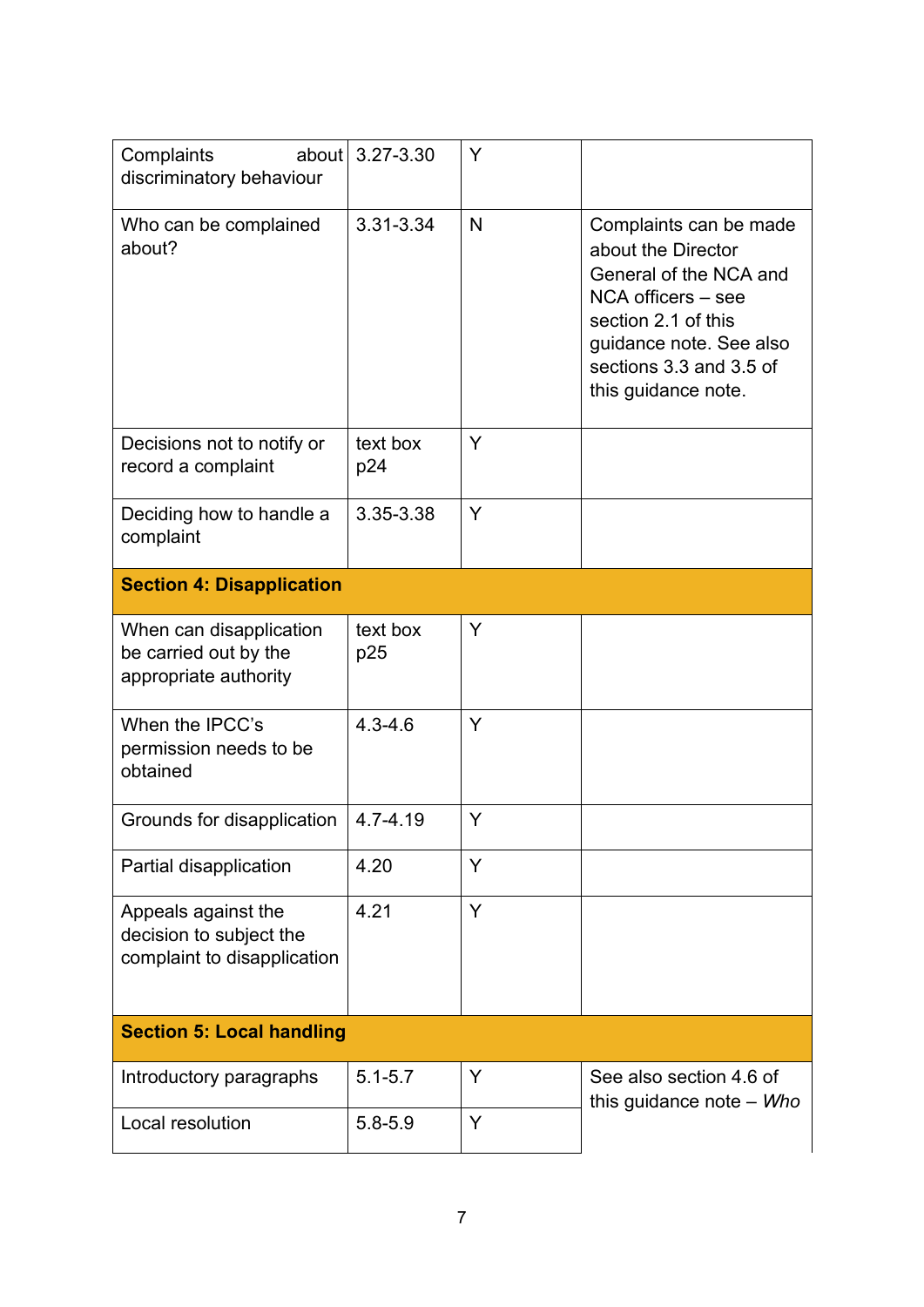| about<br>Complaints<br>discriminatory behaviour                               | 3.27-3.30       | Y |                                                                                                                                                                                                  |
|-------------------------------------------------------------------------------|-----------------|---|--------------------------------------------------------------------------------------------------------------------------------------------------------------------------------------------------|
| Who can be complained<br>about?                                               | 3.31-3.34       | N | Complaints can be made<br>about the Director<br>General of the NCA and<br>NCA officers - see<br>section 2.1 of this<br>guidance note. See also<br>sections 3.3 and 3.5 of<br>this guidance note. |
| Decisions not to notify or<br>record a complaint                              | text box<br>p24 | Y |                                                                                                                                                                                                  |
| Deciding how to handle a<br>complaint                                         | 3.35-3.38       | Y |                                                                                                                                                                                                  |
| <b>Section 4: Disapplication</b>                                              |                 |   |                                                                                                                                                                                                  |
| When can disapplication<br>be carried out by the<br>appropriate authority     | text box<br>p25 | Y |                                                                                                                                                                                                  |
| When the IPCC's<br>permission needs to be<br>obtained                         | $4.3 - 4.6$     | Y |                                                                                                                                                                                                  |
| Grounds for disapplication                                                    | 4.7-4.19        | Y |                                                                                                                                                                                                  |
| Partial disapplication                                                        | 4.20            | Y |                                                                                                                                                                                                  |
| Appeals against the<br>decision to subject the<br>complaint to disapplication | 4.21            | Y |                                                                                                                                                                                                  |
| <b>Section 5: Local handling</b>                                              |                 |   |                                                                                                                                                                                                  |
| Introductory paragraphs                                                       | $5.1 - 5.7$     | Y | See also section 4.6 of<br>this guidance note $-$ <i>Who</i>                                                                                                                                     |
| Local resolution                                                              | $5.8 - 5.9$     | Y |                                                                                                                                                                                                  |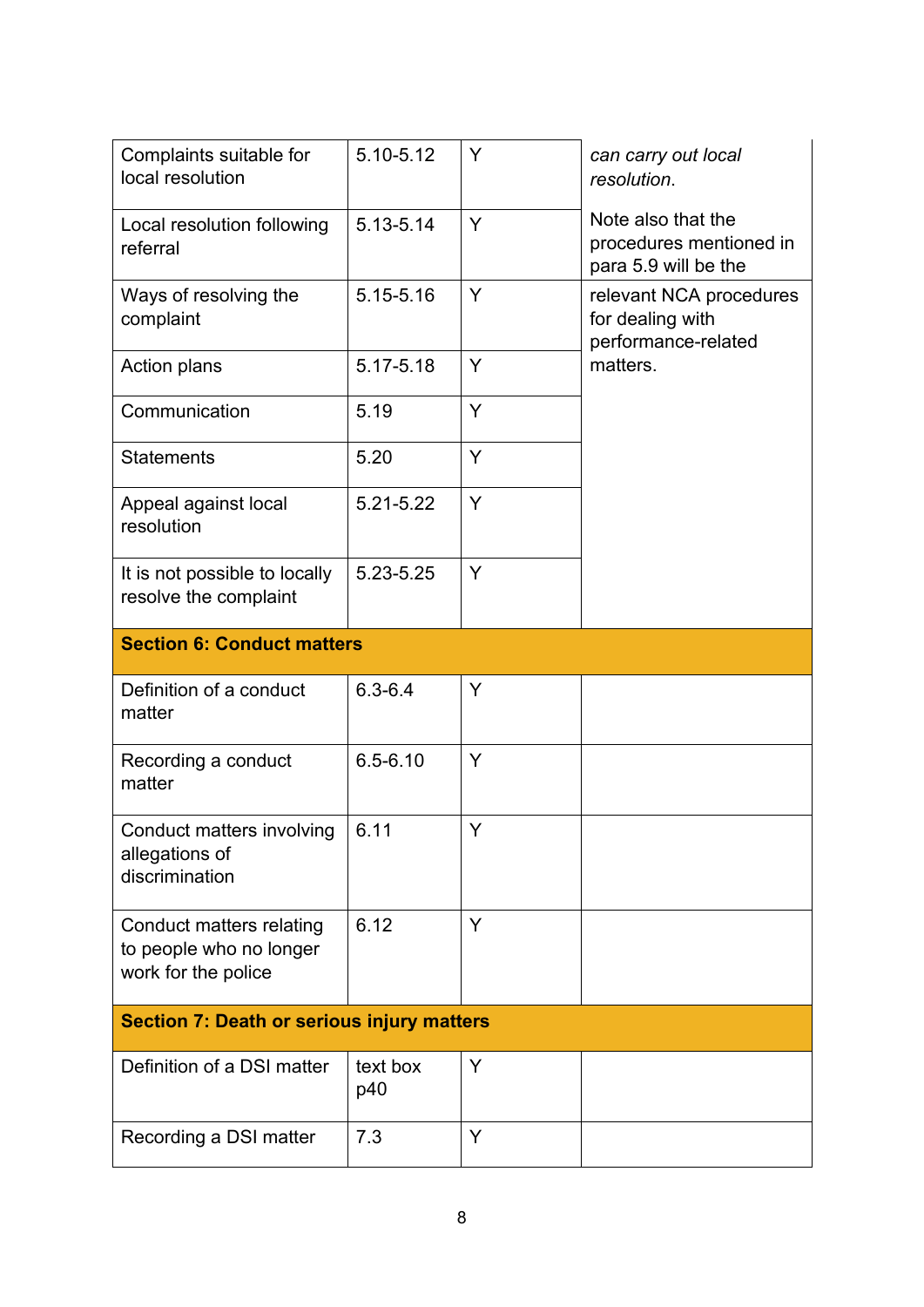| Complaints suitable for<br>local resolution                                | 5.10-5.12                         | Y | can carry out local<br>resolution.                                    |  |  |
|----------------------------------------------------------------------------|-----------------------------------|---|-----------------------------------------------------------------------|--|--|
| Local resolution following<br>referral                                     | 5.13-5.14                         | Y | Note also that the<br>procedures mentioned in<br>para 5.9 will be the |  |  |
| Ways of resolving the<br>complaint                                         | 5.15-5.16                         | Y | relevant NCA procedures<br>for dealing with<br>performance-related    |  |  |
| <b>Action plans</b>                                                        | 5.17-5.18                         | Y | matters.                                                              |  |  |
| Communication                                                              | 5.19                              | Y |                                                                       |  |  |
| <b>Statements</b>                                                          | 5.20                              | Y |                                                                       |  |  |
| Appeal against local<br>resolution                                         | 5.21-5.22                         | Y |                                                                       |  |  |
| It is not possible to locally<br>resolve the complaint                     | 5.23-5.25                         | Y |                                                                       |  |  |
|                                                                            | <b>Section 6: Conduct matters</b> |   |                                                                       |  |  |
| Definition of a conduct<br>matter                                          | $6.3 - 6.4$                       | Y |                                                                       |  |  |
| Recording a conduct<br>matter                                              | $6.5 - 6.10$                      | Y |                                                                       |  |  |
| Conduct matters involving<br>allegations of<br>discrimination              | 6.11                              | Y |                                                                       |  |  |
| Conduct matters relating<br>to people who no longer<br>work for the police | 6.12                              | Y |                                                                       |  |  |
| <b>Section 7: Death or serious injury matters</b>                          |                                   |   |                                                                       |  |  |
| Definition of a DSI matter                                                 | text box<br>p40                   | Y |                                                                       |  |  |
| Recording a DSI matter                                                     | 7.3                               | Y |                                                                       |  |  |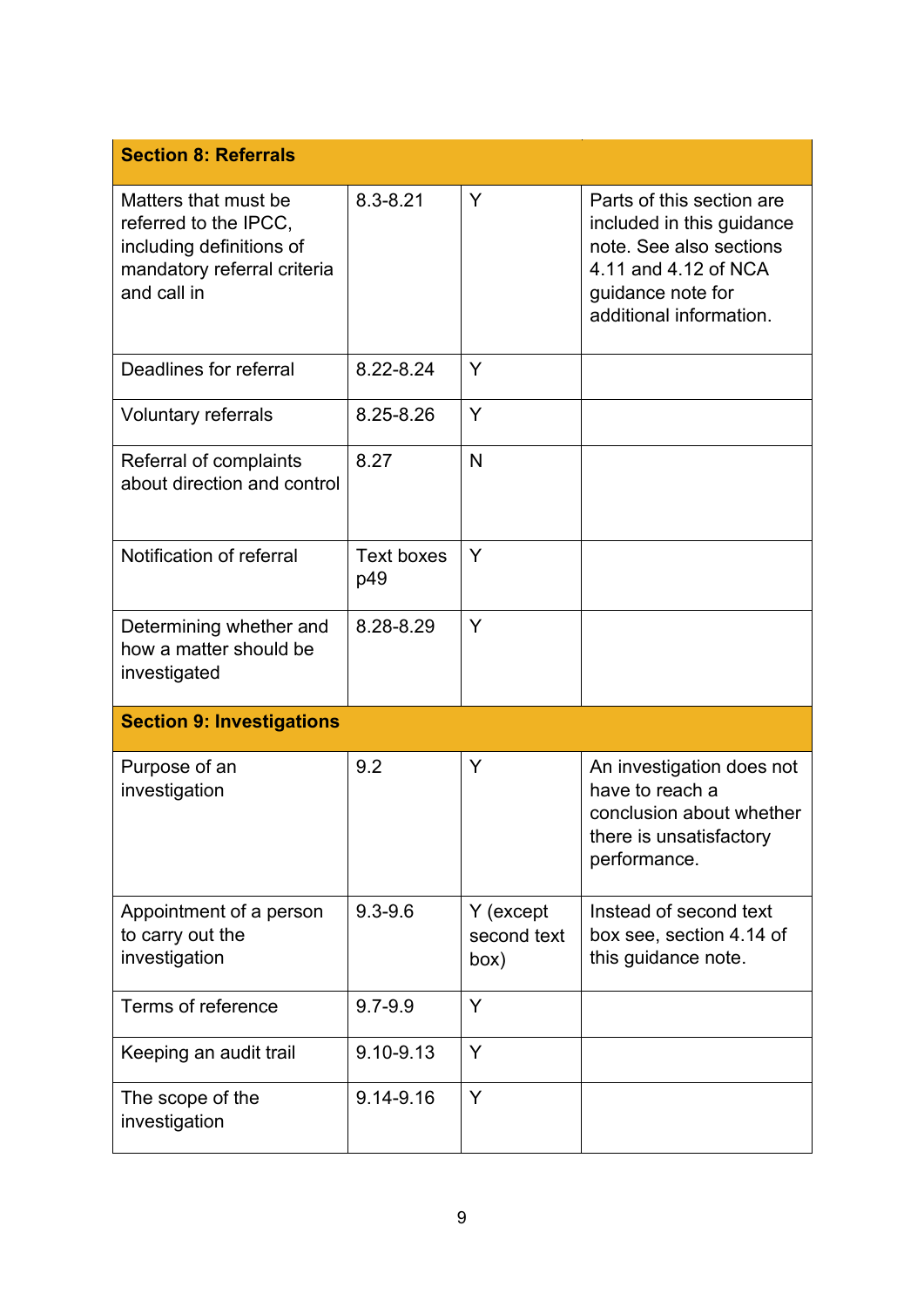| <b>Section 8: Referrals</b>                                                                                             |                          |                                  |                                                                                                                                                           |
|-------------------------------------------------------------------------------------------------------------------------|--------------------------|----------------------------------|-----------------------------------------------------------------------------------------------------------------------------------------------------------|
| Matters that must be<br>referred to the IPCC,<br>including definitions of<br>mandatory referral criteria<br>and call in | $8.3 - 8.21$             | Y                                | Parts of this section are<br>included in this guidance<br>note. See also sections<br>4.11 and 4.12 of NCA<br>guidance note for<br>additional information. |
| Deadlines for referral                                                                                                  | 8.22-8.24                | Y                                |                                                                                                                                                           |
| Voluntary referrals                                                                                                     | 8.25-8.26                | Y                                |                                                                                                                                                           |
| Referral of complaints<br>about direction and control                                                                   | 8.27                     | N                                |                                                                                                                                                           |
| Notification of referral                                                                                                | <b>Text boxes</b><br>p49 | Y                                |                                                                                                                                                           |
| Determining whether and<br>how a matter should be<br>investigated                                                       | 8.28-8.29                | Y                                |                                                                                                                                                           |
| <b>Section 9: Investigations</b>                                                                                        |                          |                                  |                                                                                                                                                           |
| Purpose of an<br>investigation                                                                                          | 9.2                      | Y                                | An investigation does not<br>have to reach a<br>conclusion about whether<br>there is unsatisfactory<br>performance.                                       |
| Appointment of a person<br>to carry out the<br>investigation                                                            | $9.3 - 9.6$              | Y (except<br>second text<br>box) | Instead of second text<br>box see, section 4.14 of<br>this guidance note.                                                                                 |
| Terms of reference                                                                                                      | $9.7 - 9.9$              | Y                                |                                                                                                                                                           |
| Keeping an audit trail                                                                                                  | 9.10-9.13                | Y                                |                                                                                                                                                           |
| The scope of the<br>investigation                                                                                       | 9.14-9.16                | Y                                |                                                                                                                                                           |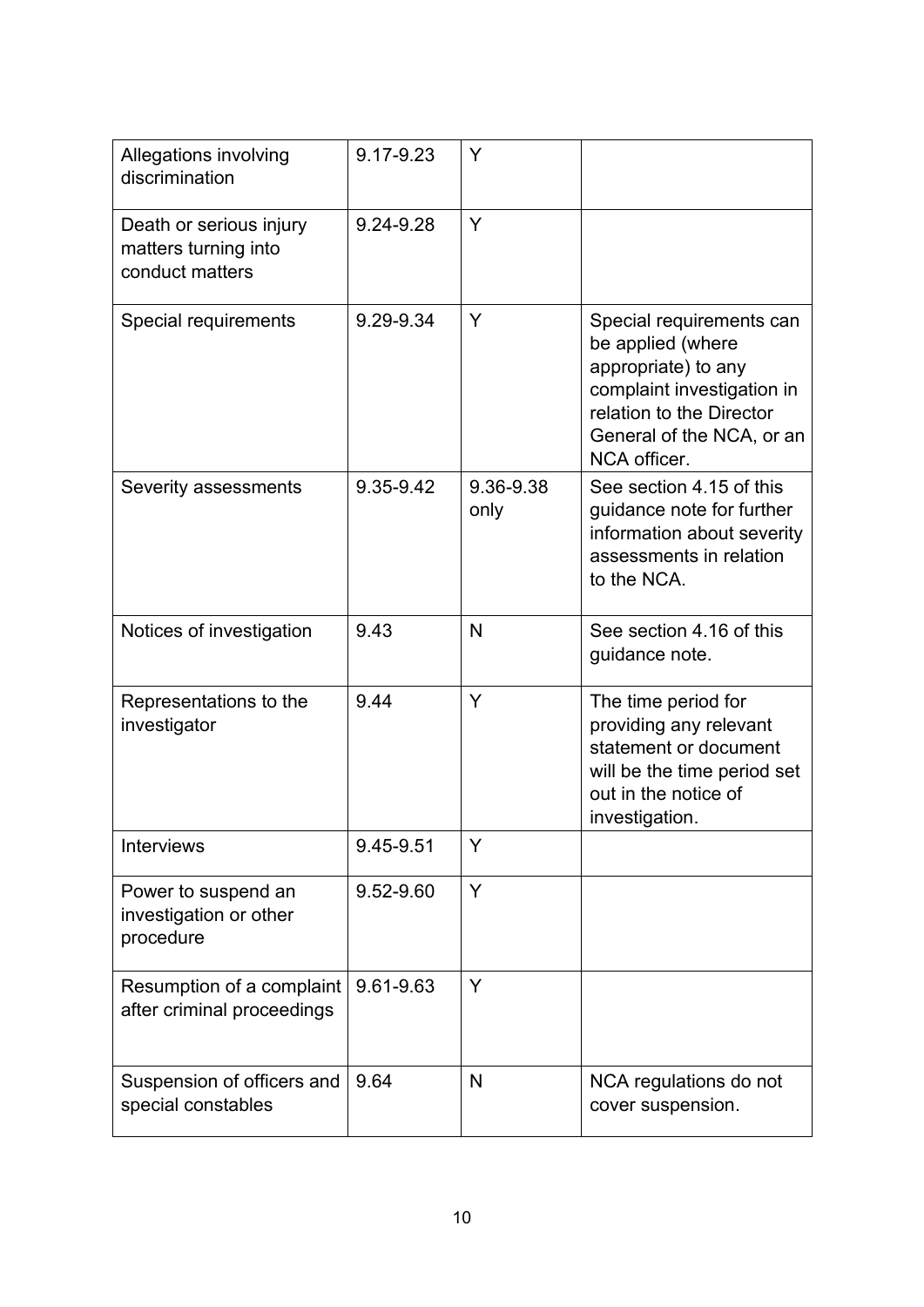| Allegations involving<br>discrimination                            | 9.17-9.23 | Y                 |                                                                                                                                                                             |
|--------------------------------------------------------------------|-----------|-------------------|-----------------------------------------------------------------------------------------------------------------------------------------------------------------------------|
| Death or serious injury<br>matters turning into<br>conduct matters | 9.24-9.28 | Y                 |                                                                                                                                                                             |
| Special requirements                                               | 9.29-9.34 | Y                 | Special requirements can<br>be applied (where<br>appropriate) to any<br>complaint investigation in<br>relation to the Director<br>General of the NCA, or an<br>NCA officer. |
| Severity assessments                                               | 9.35-9.42 | 9.36-9.38<br>only | See section 4.15 of this<br>guidance note for further<br>information about severity<br>assessments in relation<br>to the NCA.                                               |
| Notices of investigation                                           | 9.43      | N                 | See section 4.16 of this<br>guidance note.                                                                                                                                  |
| Representations to the<br>investigator                             | 9.44      | Y                 | The time period for<br>providing any relevant<br>statement or document<br>will be the time period set<br>out in the notice of<br>investigation.                             |
| <b>Interviews</b>                                                  | 9.45-9.51 | Y                 |                                                                                                                                                                             |
| Power to suspend an<br>investigation or other<br>procedure         | 9.52-9.60 | Y                 |                                                                                                                                                                             |
| Resumption of a complaint<br>after criminal proceedings            | 9.61-9.63 | Y                 |                                                                                                                                                                             |
| Suspension of officers and<br>special constables                   | 9.64      | N                 | NCA regulations do not<br>cover suspension.                                                                                                                                 |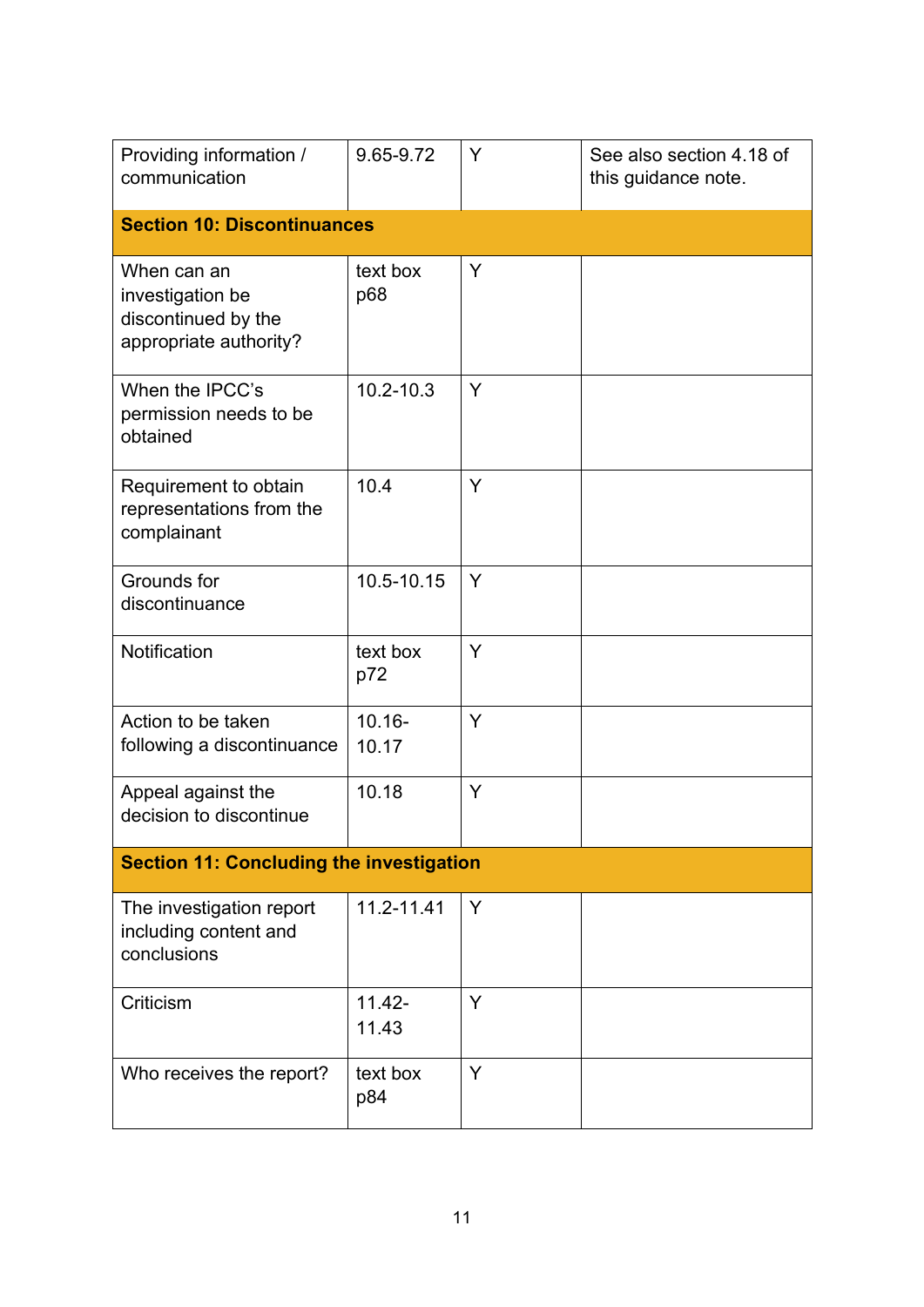| Providing information /<br>communication                                         | 9.65-9.72          | Y | See also section 4.18 of<br>this guidance note. |
|----------------------------------------------------------------------------------|--------------------|---|-------------------------------------------------|
| <b>Section 10: Discontinuances</b>                                               |                    |   |                                                 |
| When can an<br>investigation be<br>discontinued by the<br>appropriate authority? | text box<br>p68    | Y |                                                 |
| When the IPCC's<br>permission needs to be<br>obtained                            | $10.2 - 10.3$      | Y |                                                 |
| Requirement to obtain<br>representations from the<br>complainant                 | 10.4               | Y |                                                 |
| Grounds for<br>discontinuance                                                    | 10.5-10.15         | Y |                                                 |
| Notification                                                                     | text box<br>p72    | Y |                                                 |
| Action to be taken<br>following a discontinuance                                 | $10.16 -$<br>10.17 | Y |                                                 |
| Appeal against the<br>decision to discontinue                                    | 10.18              | Y |                                                 |
| <b>Section 11: Concluding the investigation</b>                                  |                    |   |                                                 |
| The investigation report<br>including content and<br>conclusions                 | 11.2-11.41         | Y |                                                 |
| Criticism                                                                        | $11.42 -$<br>11.43 | Y |                                                 |
| Who receives the report?                                                         | text box<br>p84    | Y |                                                 |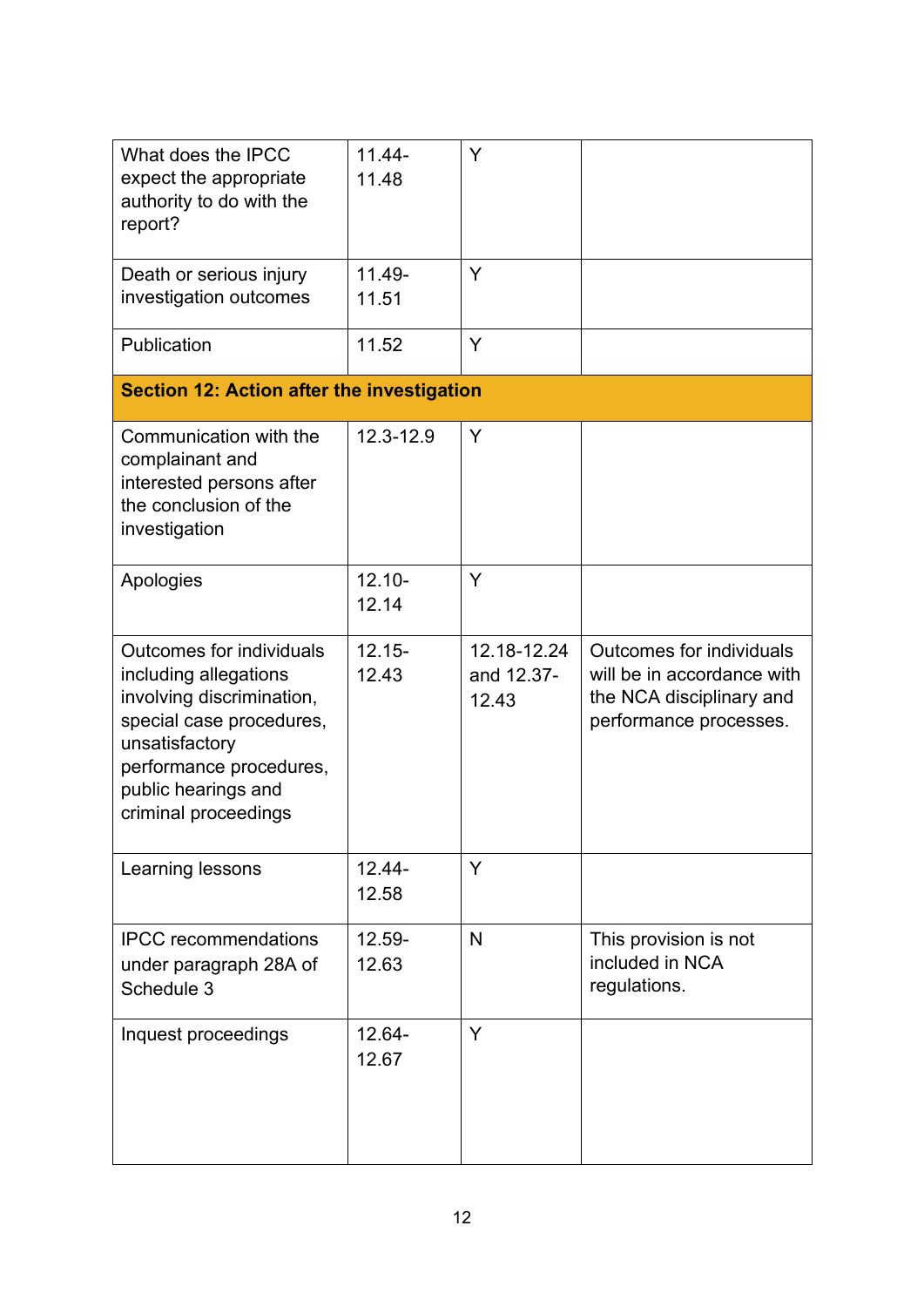| What does the IPCC<br>expect the appropriate<br>authority to do with the<br>report?                                                                                                                           | $11.44 -$<br>11.48 | Y                                  |                                                                                                                     |
|---------------------------------------------------------------------------------------------------------------------------------------------------------------------------------------------------------------|--------------------|------------------------------------|---------------------------------------------------------------------------------------------------------------------|
| Death or serious injury<br>investigation outcomes                                                                                                                                                             | 11.49-<br>11.51    | Y                                  |                                                                                                                     |
| Publication                                                                                                                                                                                                   | 11.52              | Y                                  |                                                                                                                     |
| <b>Section 12: Action after the investigation</b>                                                                                                                                                             |                    |                                    |                                                                                                                     |
| Communication with the<br>complainant and<br>interested persons after<br>the conclusion of the<br>investigation                                                                                               | 12.3-12.9          | Y                                  |                                                                                                                     |
| Apologies                                                                                                                                                                                                     | $12.10 -$<br>12.14 | Y                                  |                                                                                                                     |
| <b>Outcomes for individuals</b><br>including allegations<br>involving discrimination,<br>special case procedures,<br>unsatisfactory<br>performance procedures,<br>public hearings and<br>criminal proceedings | $12.15 -$<br>12.43 | 12.18-12.24<br>and 12.37-<br>12.43 | <b>Outcomes for individuals</b><br>will be in accordance with<br>the NCA disciplinary and<br>performance processes. |
| Learning lessons                                                                                                                                                                                              | $12.44 -$<br>12.58 | Y                                  |                                                                                                                     |
| <b>IPCC</b> recommendations<br>under paragraph 28A of<br>Schedule 3                                                                                                                                           | 12.59-<br>12.63    | N                                  | This provision is not<br>included in NCA<br>regulations.                                                            |
| Inquest proceedings                                                                                                                                                                                           | $12.64 -$<br>12.67 | Y                                  |                                                                                                                     |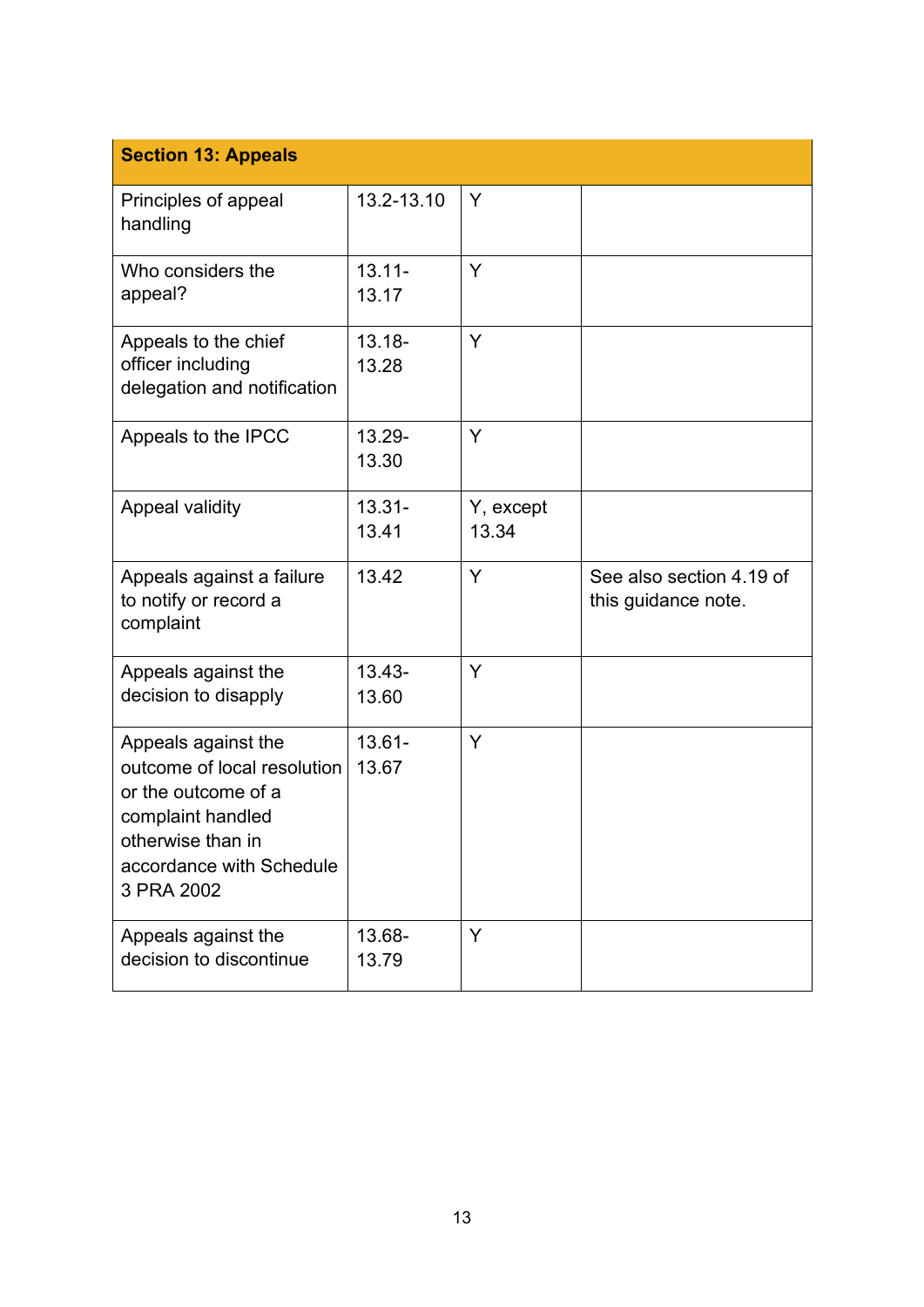| <b>Section 13: Appeals</b>                                                                                                                                    |                    |                    |                                                 |
|---------------------------------------------------------------------------------------------------------------------------------------------------------------|--------------------|--------------------|-------------------------------------------------|
| Principles of appeal<br>handling                                                                                                                              | 13.2-13.10         | Y                  |                                                 |
| Who considers the<br>appeal?                                                                                                                                  | $13.11 -$<br>13.17 | Y                  |                                                 |
| Appeals to the chief<br>officer including<br>delegation and notification                                                                                      | $13.18 -$<br>13.28 | Y                  |                                                 |
| Appeals to the IPCC                                                                                                                                           | 13.29-<br>13.30    | Y                  |                                                 |
| <b>Appeal validity</b>                                                                                                                                        | $13.31 -$<br>13.41 | Y, except<br>13.34 |                                                 |
| Appeals against a failure<br>to notify or record a<br>complaint                                                                                               | 13.42              | Y                  | See also section 4.19 of<br>this guidance note. |
| Appeals against the<br>decision to disapply                                                                                                                   | $13.43 -$<br>13.60 | Y                  |                                                 |
| Appeals against the<br>outcome of local resolution<br>or the outcome of a<br>complaint handled<br>otherwise than in<br>accordance with Schedule<br>3 PRA 2002 | $13.61 -$<br>13.67 | Y                  |                                                 |
| Appeals against the<br>decision to discontinue                                                                                                                | 13.68-<br>13.79    | Y                  |                                                 |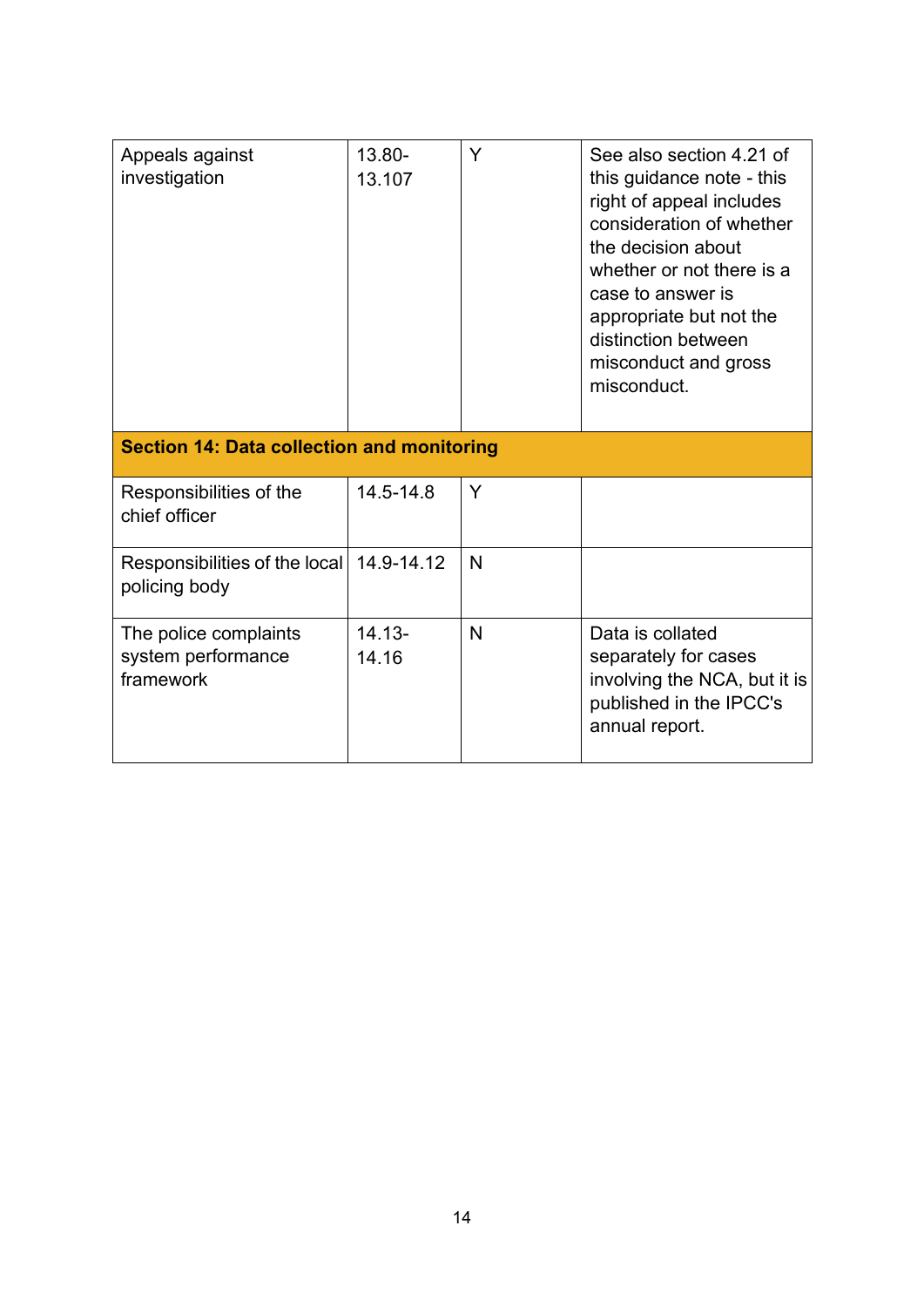| Appeals against<br>investigation                         | 13.80-<br>13.107   | Y            | See also section 4.21 of<br>this guidance note - this<br>right of appeal includes<br>consideration of whether<br>the decision about<br>whether or not there is a<br>case to answer is<br>appropriate but not the<br>distinction between<br>misconduct and gross<br>misconduct. |
|----------------------------------------------------------|--------------------|--------------|--------------------------------------------------------------------------------------------------------------------------------------------------------------------------------------------------------------------------------------------------------------------------------|
| <b>Section 14: Data collection and monitoring</b>        |                    |              |                                                                                                                                                                                                                                                                                |
| Responsibilities of the<br>chief officer                 | 14.5-14.8          | Y            |                                                                                                                                                                                                                                                                                |
| Responsibilities of the local<br>policing body           | 14.9-14.12         | $\mathsf{N}$ |                                                                                                                                                                                                                                                                                |
| The police complaints<br>system performance<br>framework | $14.13 -$<br>14.16 | N            | Data is collated<br>separately for cases<br>involving the NCA, but it is<br>published in the IPCC's<br>annual report.                                                                                                                                                          |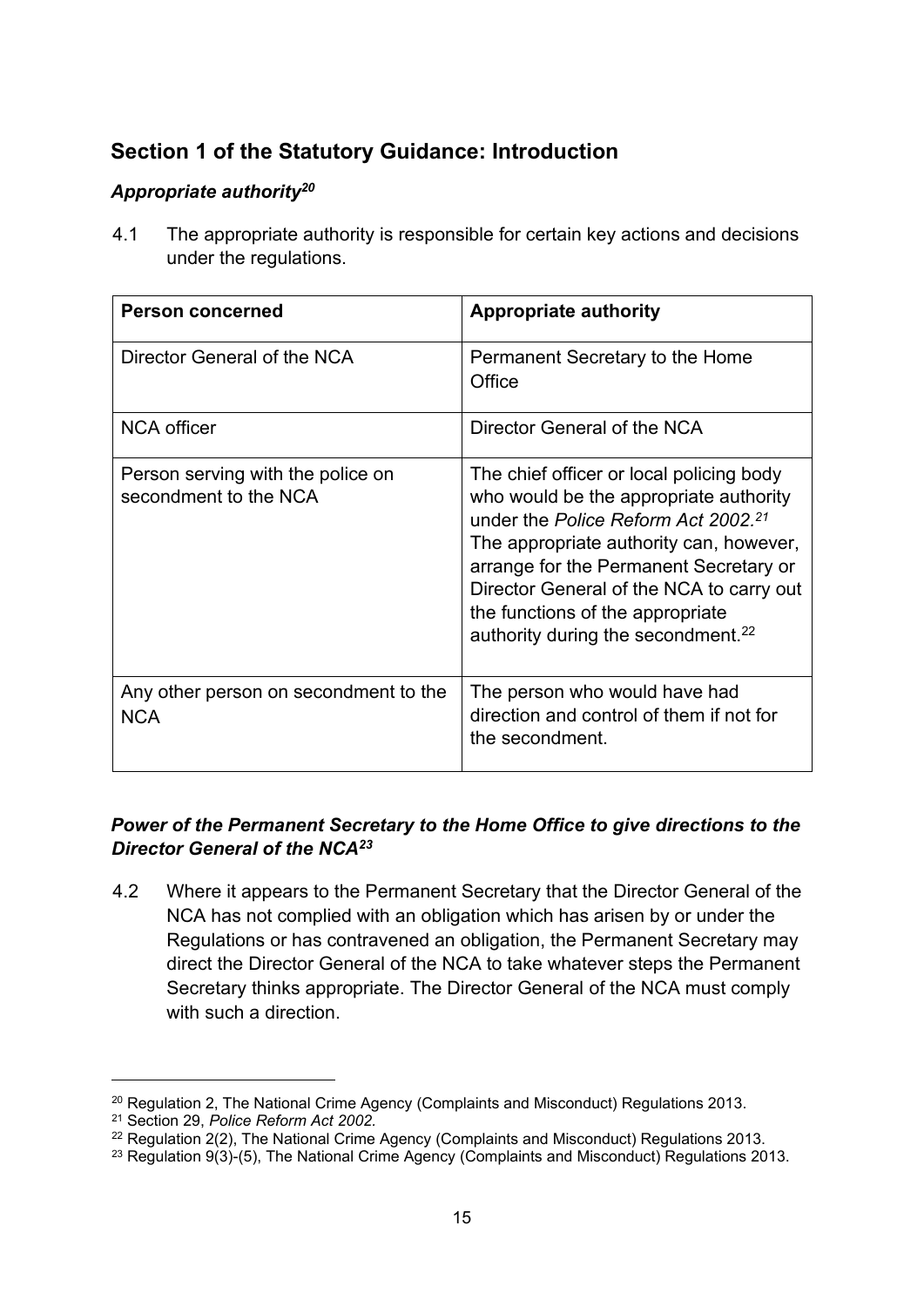# **Section 1 of the Statutory Guidance: Introduction**

# *Appropriate authority<sup>20</sup>*

4.1 The appropriate authority is responsible for certain key actions and decisions under the regulations.

| <b>Person concerned</b>                                    | <b>Appropriate authority</b>                                                                                                                                                                                                                                                                                                                                 |
|------------------------------------------------------------|--------------------------------------------------------------------------------------------------------------------------------------------------------------------------------------------------------------------------------------------------------------------------------------------------------------------------------------------------------------|
| Director General of the NCA                                | Permanent Secretary to the Home<br>Office                                                                                                                                                                                                                                                                                                                    |
| <b>NCA</b> officer                                         | Director General of the NCA                                                                                                                                                                                                                                                                                                                                  |
| Person serving with the police on<br>secondment to the NCA | The chief officer or local policing body<br>who would be the appropriate authority<br>under the Police Reform Act 2002. <sup>21</sup><br>The appropriate authority can, however,<br>arrange for the Permanent Secretary or<br>Director General of the NCA to carry out<br>the functions of the appropriate<br>authority during the secondment. <sup>22</sup> |
| Any other person on secondment to the<br><b>NCA</b>        | The person who would have had<br>direction and control of them if not for<br>the secondment.                                                                                                                                                                                                                                                                 |

# *Power of the Permanent Secretary to the Home Office to give directions to the Director General of the NCA<sup>23</sup>*

4.2 Where it appears to the Permanent Secretary that the Director General of the NCA has not complied with an obligation which has arisen by or under the Regulations or has contravened an obligation, the Permanent Secretary may direct the Director General of the NCA to take whatever steps the Permanent Secretary thinks appropriate. The Director General of the NCA must comply with such a direction.

<sup>&</sup>lt;sup>20</sup> Regulation 2, The National Crime Agency (Complaints and Misconduct) Regulations 2013.

<sup>21</sup> Section 29, *Police Reform Act 2002.*

<sup>22</sup> Regulation 2(2), The National Crime Agency (Complaints and Misconduct) Regulations 2013.

<sup>23</sup> Regulation 9(3)-(5), The National Crime Agency (Complaints and Misconduct) Regulations 2013.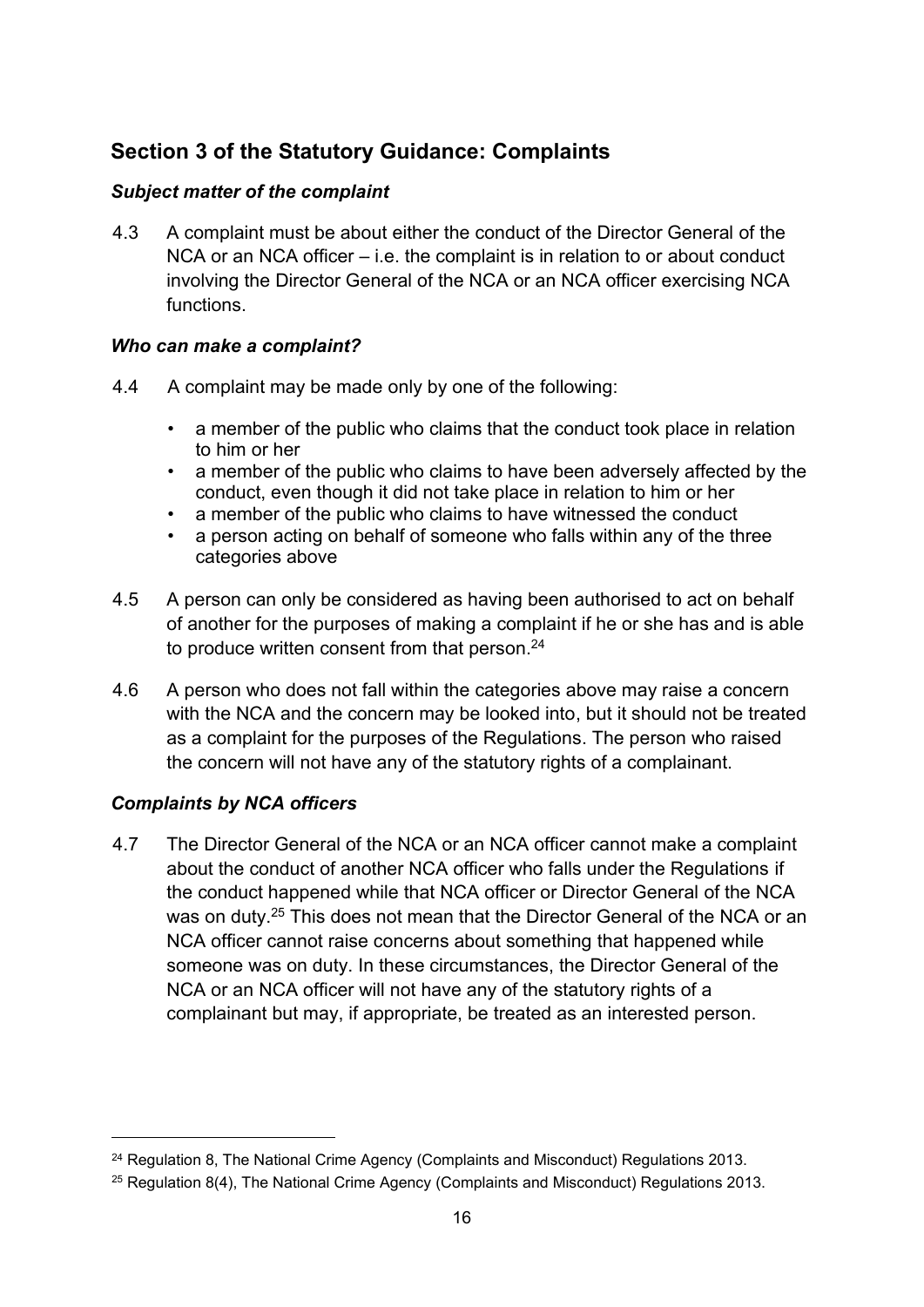# **Section 3 of the Statutory Guidance: Complaints**

### *Subject matter of the complaint*

4.3 A complaint must be about either the conduct of the Director General of the NCA or an NCA officer – i.e. the complaint is in relation to or about conduct involving the Director General of the NCA or an NCA officer exercising NCA functions.

### *Who can make a complaint?*

- 4.4 A complaint may be made only by one of the following:
	- a member of the public who claims that the conduct took place in relation to him or her
	- a member of the public who claims to have been adversely affected by the conduct, even though it did not take place in relation to him or her
	- a member of the public who claims to have witnessed the conduct
	- a person acting on behalf of someone who falls within any of the three categories above
- 4.5 A person can only be considered as having been authorised to act on behalf of another for the purposes of making a complaint if he or she has and is able to produce written consent from that person.<sup>24</sup>
- 4.6 A person who does not fall within the categories above may raise a concern with the NCA and the concern may be looked into, but it should not be treated as a complaint for the purposes of the Regulations. The person who raised the concern will not have any of the statutory rights of a complainant.

# *Complaints by NCA officers*

4.7 The Director General of the NCA or an NCA officer cannot make a complaint about the conduct of another NCA officer who falls under the Regulations if the conduct happened while that NCA officer or Director General of the NCA was on duty.<sup>25</sup> This does not mean that the Director General of the NCA or an NCA officer cannot raise concerns about something that happened while someone was on duty. In these circumstances, the Director General of the NCA or an NCA officer will not have any of the statutory rights of a complainant but may, if appropriate, be treated as an interested person.

<sup>&</sup>lt;sup>24</sup> Regulation 8, The National Crime Agency (Complaints and Misconduct) Regulations 2013.

 $25$  Regulation 8(4), The National Crime Agency (Complaints and Misconduct) Regulations 2013.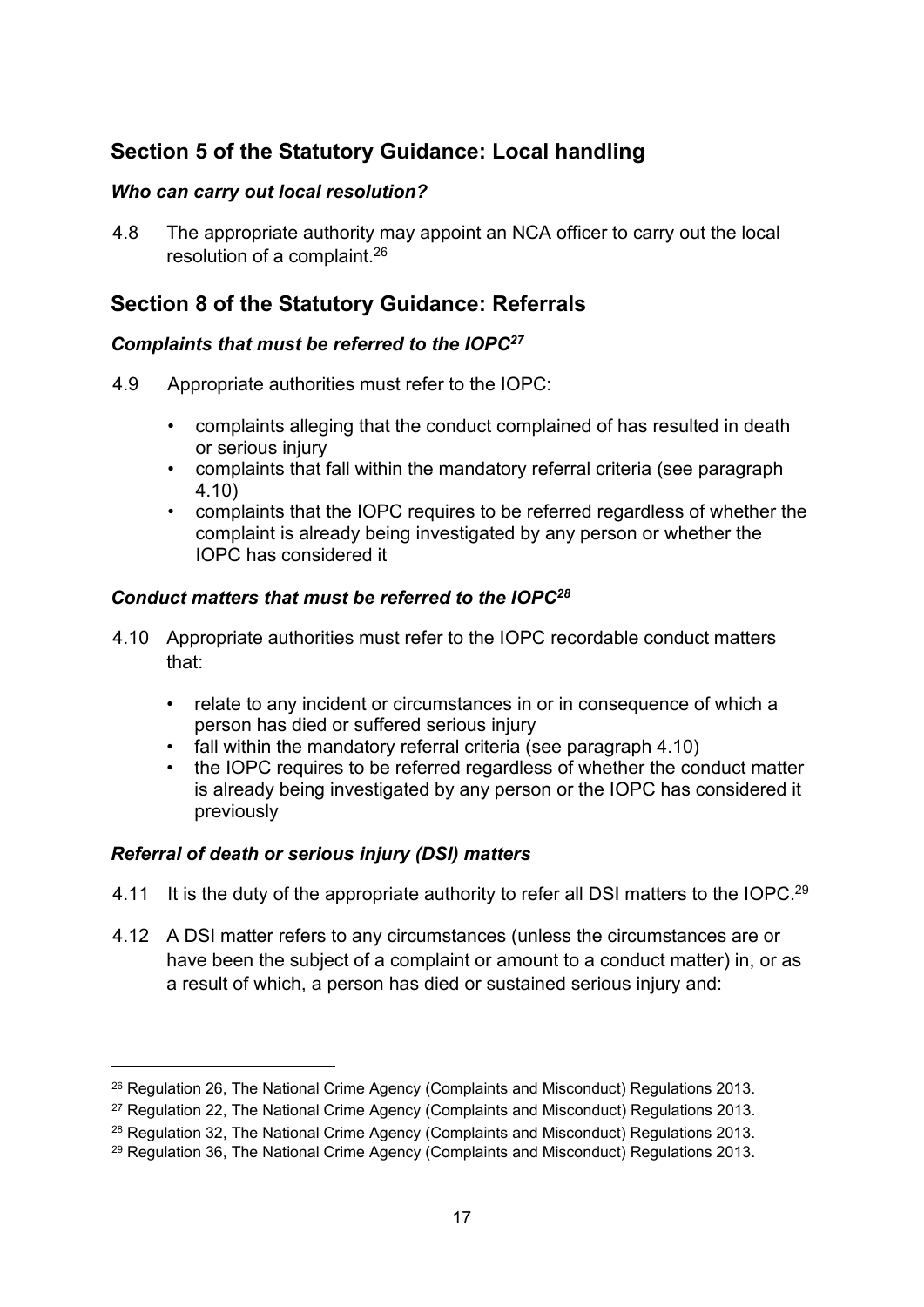# **Section 5 of the Statutory Guidance: Local handling**

### *Who can carry out local resolution?*

4.8 The appropriate authority may appoint an NCA officer to carry out the local resolution of a complaint.<sup>26</sup>

# **Section 8 of the Statutory Guidance: Referrals**

### *Complaints that must be referred to the IOPC<sup>27</sup>*

- 4.9 Appropriate authorities must refer to the IOPC:
	- complaints alleging that the conduct complained of has resulted in death or serious injury
	- complaints that fall within the mandatory referral criteria (see paragraph 4.10)
	- complaints that the IOPC requires to be referred regardless of whether the complaint is already being investigated by any person or whether the IOPC has considered it

### *Conduct matters that must be referred to the IOPC<sup>28</sup>*

- 4.10 Appropriate authorities must refer to the IOPC recordable conduct matters that:
	- relate to any incident or circumstances in or in consequence of which a person has died or suffered serious injury
	- fall within the mandatory referral criteria (see paragraph 4.10)
	- the IOPC requires to be referred regardless of whether the conduct matter is already being investigated by any person or the IOPC has considered it previously

# *Referral of death or serious injury (DSI) matters*

- 4.11 It is the duty of the appropriate authority to refer all DSI matters to the IOPC.<sup>29</sup>
- 4.12 A DSI matter refers to any circumstances (unless the circumstances are or have been the subject of a complaint or amount to a conduct matter) in, or as a result of which, a person has died or sustained serious injury and:

<sup>&</sup>lt;sup>26</sup> Regulation 26, The National Crime Agency (Complaints and Misconduct) Regulations 2013.

<sup>27</sup> Regulation 22, The National Crime Agency (Complaints and Misconduct) Regulations 2013.

<sup>&</sup>lt;sup>28</sup> Regulation 32, The National Crime Agency (Complaints and Misconduct) Regulations 2013.

<sup>29</sup> Regulation 36, The National Crime Agency (Complaints and Misconduct) Regulations 2013.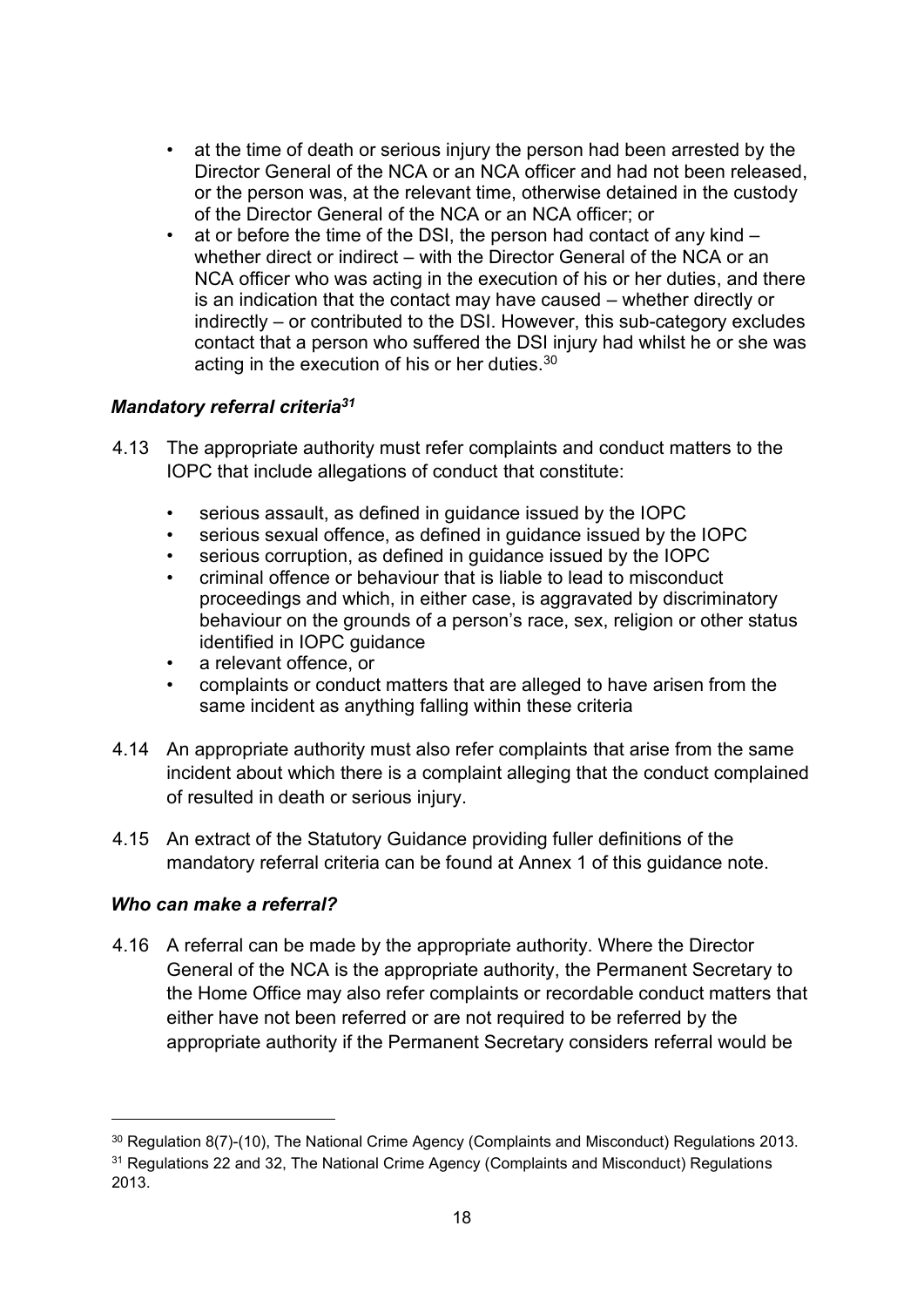- at the time of death or serious injury the person had been arrested by the Director General of the NCA or an NCA officer and had not been released, or the person was, at the relevant time, otherwise detained in the custody of the Director General of the NCA or an NCA officer; or
- at or before the time of the DSI, the person had contact of any kind whether direct or indirect – with the Director General of the NCA or an NCA officer who was acting in the execution of his or her duties, and there is an indication that the contact may have caused – whether directly or indirectly – or contributed to the DSI. However, this sub-category excludes contact that a person who suffered the DSI injury had whilst he or she was acting in the execution of his or her duties.<sup>30</sup>

### *Mandatory referral criteria<sup>31</sup>*

- 4.13 The appropriate authority must refer complaints and conduct matters to the IOPC that include allegations of conduct that constitute:
	- serious assault, as defined in guidance issued by the IOPC
	- serious sexual offence, as defined in quidance issued by the IOPC
	- serious corruption, as defined in quidance issued by the IOPC
	- criminal offence or behaviour that is liable to lead to misconduct proceedings and which, in either case, is aggravated by discriminatory behaviour on the grounds of a person's race, sex, religion or other status identified in IOPC guidance
	- a relevant offence, or
	- complaints or conduct matters that are alleged to have arisen from the same incident as anything falling within these criteria
- 4.14 An appropriate authority must also refer complaints that arise from the same incident about which there is a complaint alleging that the conduct complained of resulted in death or serious injury.
- 4.15 An extract of the Statutory Guidance providing fuller definitions of the mandatory referral criteria can be found at Annex 1 of this guidance note.

### *Who can make a referral?*

4.16 A referral can be made by the appropriate authority. Where the Director General of the NCA is the appropriate authority, the Permanent Secretary to the Home Office may also refer complaints or recordable conduct matters that either have not been referred or are not required to be referred by the appropriate authority if the Permanent Secretary considers referral would be

<sup>30</sup> Regulation 8(7)-(10), The National Crime Agency (Complaints and Misconduct) Regulations 2013.

<sup>&</sup>lt;sup>31</sup> Regulations 22 and 32, The National Crime Agency (Complaints and Misconduct) Regulations 2013.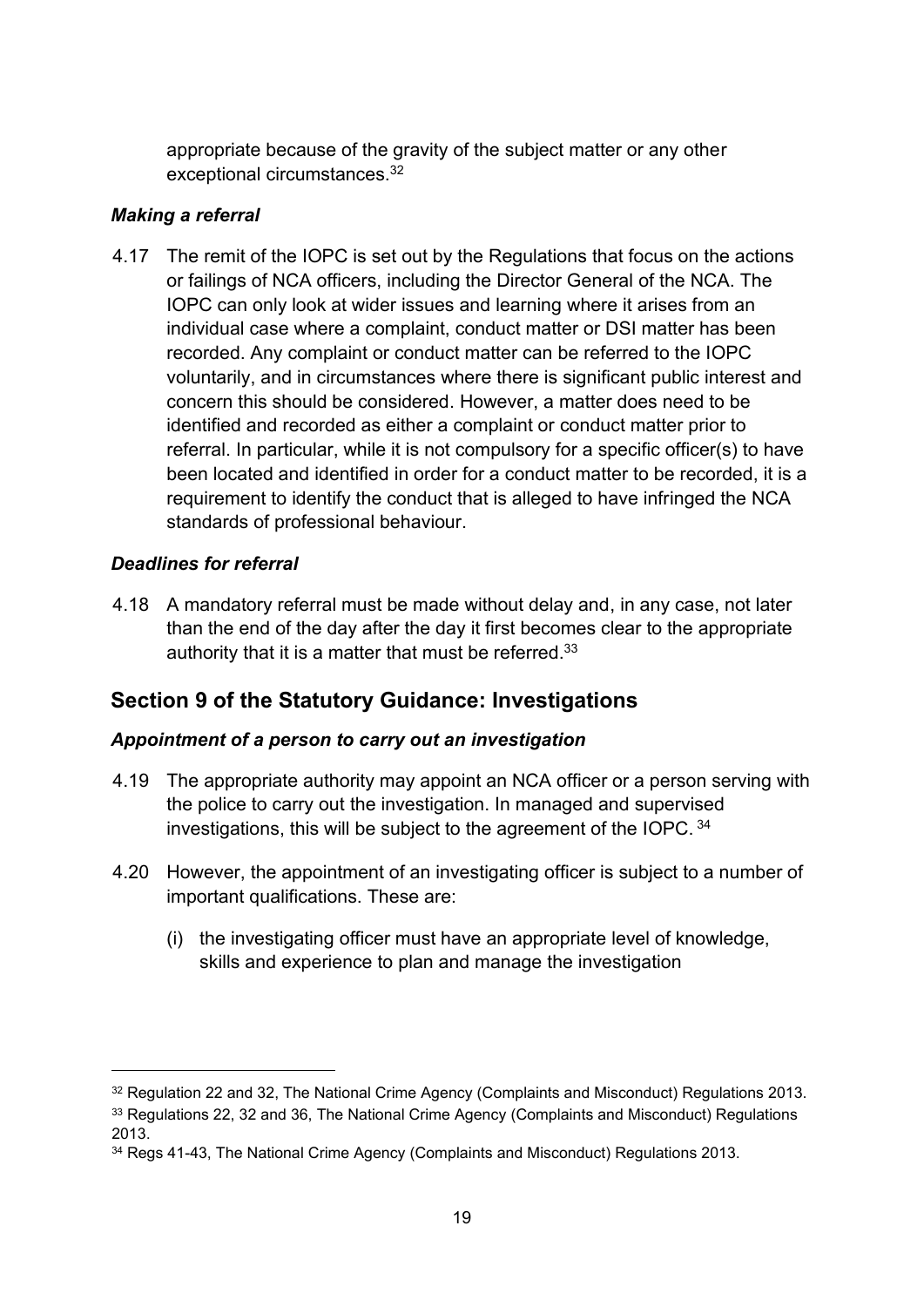appropriate because of the gravity of the subject matter or any other exceptional circumstances.<sup>32</sup>

### *Making a referral*

4.17 The remit of the IOPC is set out by the Regulations that focus on the actions or failings of NCA officers, including the Director General of the NCA. The IOPC can only look at wider issues and learning where it arises from an individual case where a complaint, conduct matter or DSI matter has been recorded. Any complaint or conduct matter can be referred to the IOPC voluntarily, and in circumstances where there is significant public interest and concern this should be considered. However, a matter does need to be identified and recorded as either a complaint or conduct matter prior to referral. In particular, while it is not compulsory for a specific officer(s) to have been located and identified in order for a conduct matter to be recorded, it is a requirement to identify the conduct that is alleged to have infringed the NCA standards of professional behaviour.

### *Deadlines for referral*

4.18 A mandatory referral must be made without delay and, in any case, not later than the end of the day after the day it first becomes clear to the appropriate authority that it is a matter that must be referred.<sup>33</sup>

# **Section 9 of the Statutory Guidance: Investigations**

# *Appointment of a person to carry out an investigation*

- 4.19 The appropriate authority may appoint an NCA officer or a person serving with the police to carry out the investigation. In managed and supervised investigations, this will be subject to the agreement of the IOPC. <sup>34</sup>
- 4.20 However, the appointment of an investigating officer is subject to a number of important qualifications. These are:
	- (i) the investigating officer must have an appropriate level of knowledge, skills and experience to plan and manage the investigation

<sup>&</sup>lt;sup>32</sup> Regulation 22 and 32, The National Crime Agency (Complaints and Misconduct) Regulations 2013.

<sup>&</sup>lt;sup>33</sup> Regulations 22, 32 and 36. The National Crime Agency (Complaints and Misconduct) Regulations 2013.

<sup>34</sup> Regs 41-43, The National Crime Agency (Complaints and Misconduct) Regulations 2013.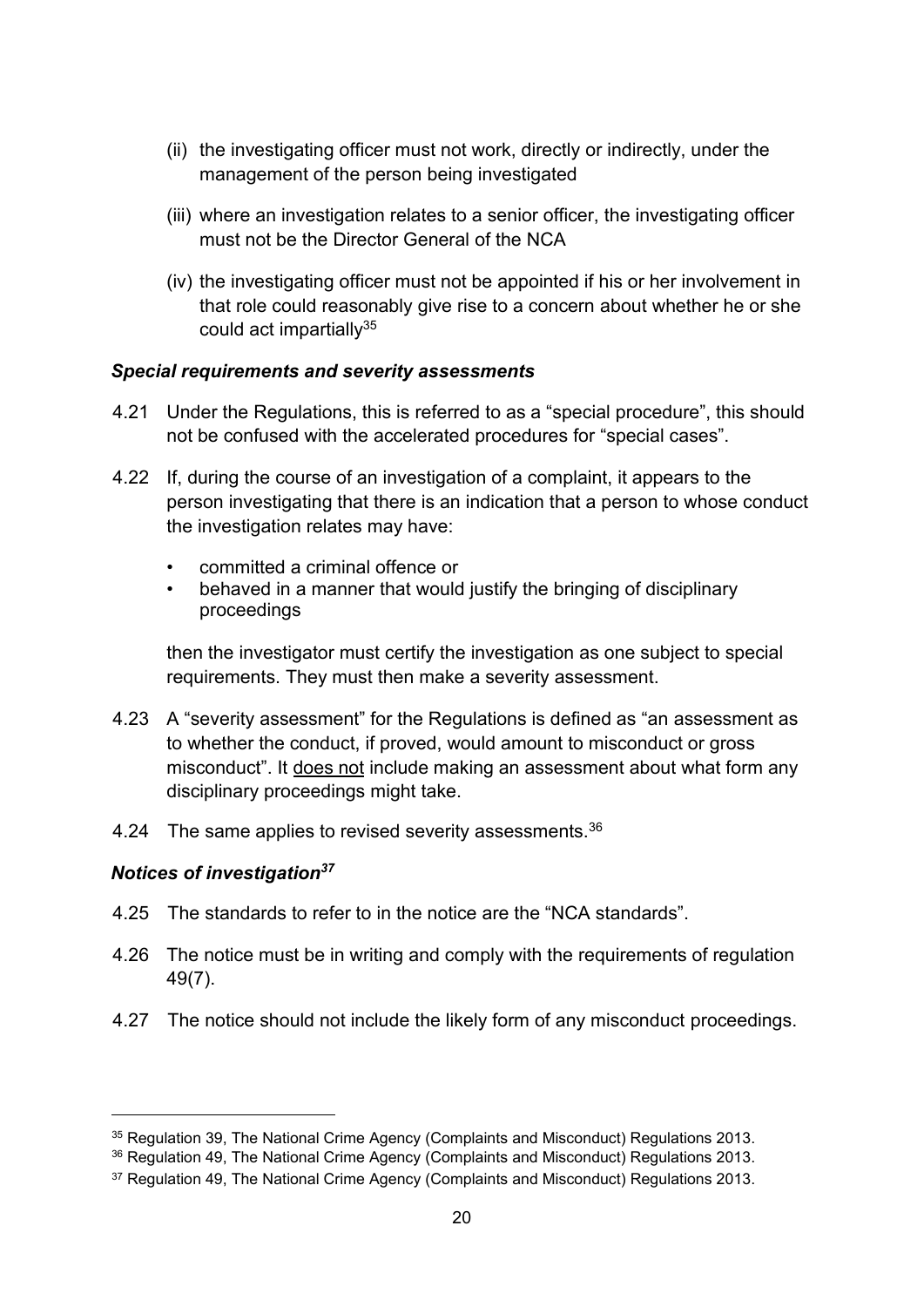- (ii) the investigating officer must not work, directly or indirectly, under the management of the person being investigated
- (iii) where an investigation relates to a senior officer, the investigating officer must not be the Director General of the NCA
- (iv) the investigating officer must not be appointed if his or her involvement in that role could reasonably give rise to a concern about whether he or she could act impartially $35$

#### *Special requirements and severity assessments*

- 4.21 Under the Regulations, this is referred to as a "special procedure", this should not be confused with the accelerated procedures for "special cases".
- 4.22 If, during the course of an investigation of a complaint, it appears to the person investigating that there is an indication that a person to whose conduct the investigation relates may have:
	- committed a criminal offence or
	- behaved in a manner that would justify the bringing of disciplinary proceedings

then the investigator must certify the investigation as one subject to special requirements. They must then make a severity assessment.

- 4.23 A "severity assessment" for the Regulations is defined as "an assessment as to whether the conduct, if proved, would amount to misconduct or gross misconduct". It does not include making an assessment about what form any disciplinary proceedings might take.
- 4.24 The same applies to revised severity assessments.<sup>36</sup>

### *Notices of investigation<sup>37</sup>*

- 4.25 The standards to refer to in the notice are the "NCA standards".
- 4.26 The notice must be in writing and comply with the requirements of regulation 49(7).
- 4.27 The notice should not include the likely form of any misconduct proceedings.

<sup>&</sup>lt;sup>35</sup> Regulation 39, The National Crime Agency (Complaints and Misconduct) Regulations 2013.

<sup>36</sup> Regulation 49, The National Crime Agency (Complaints and Misconduct) Regulations 2013.

<sup>&</sup>lt;sup>37</sup> Regulation 49, The National Crime Agency (Complaints and Misconduct) Regulations 2013.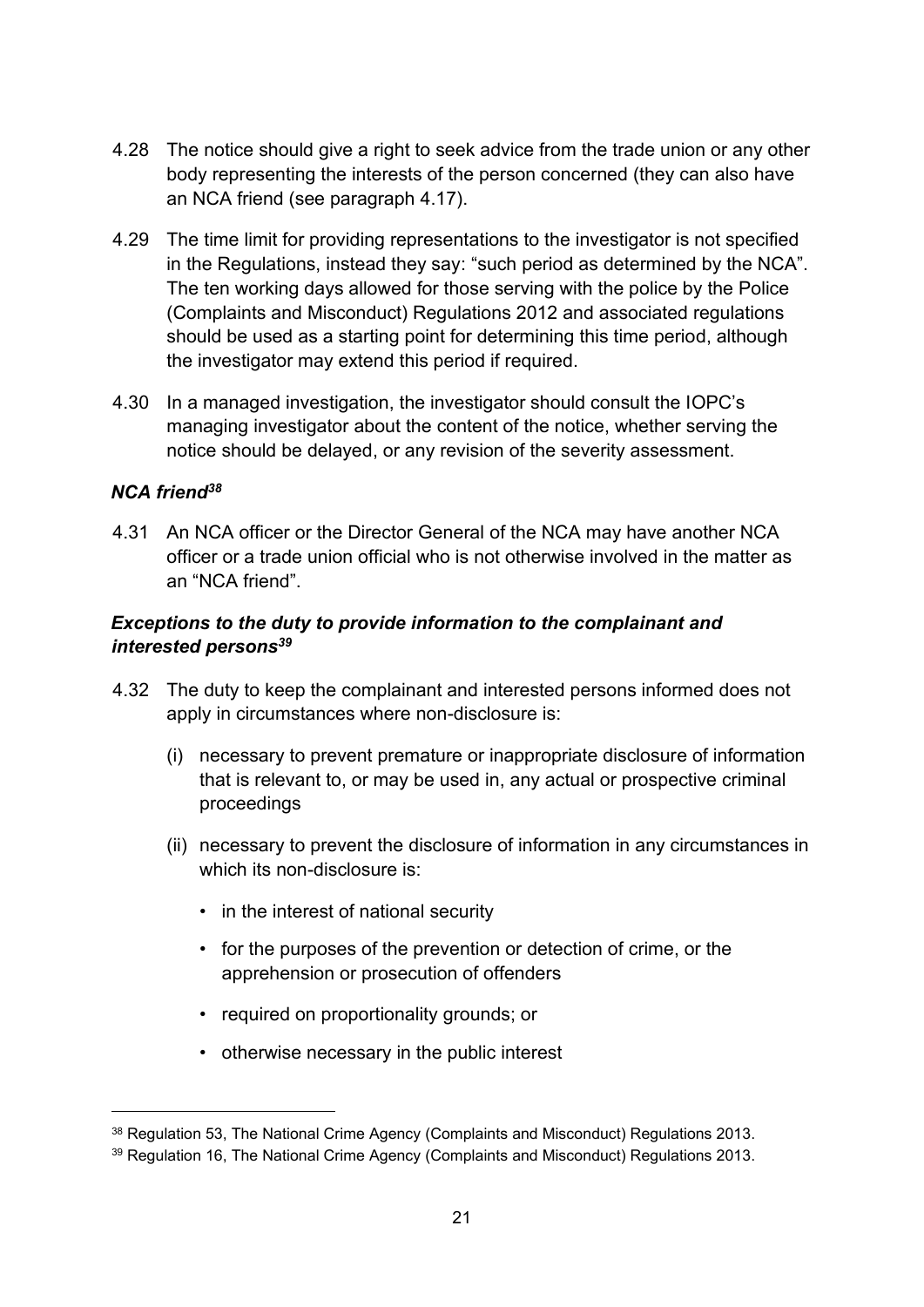- 4.28 The notice should give a right to seek advice from the trade union or any other body representing the interests of the person concerned (they can also have an NCA friend (see paragraph 4.17).
- 4.29 The time limit for providing representations to the investigator is not specified in the Regulations, instead they say: "such period as determined by the NCA". The ten working days allowed for those serving with the police by the Police (Complaints and Misconduct) Regulations 2012 and associated regulations should be used as a starting point for determining this time period, although the investigator may extend this period if required.
- 4.30 In a managed investigation, the investigator should consult the IOPC's managing investigator about the content of the notice, whether serving the notice should be delayed, or any revision of the severity assessment.

### *NCA friend<sup>38</sup>*

4.31 An NCA officer or the Director General of the NCA may have another NCA officer or a trade union official who is not otherwise involved in the matter as an "NCA friend".

### *Exceptions to the duty to provide information to the complainant and interested persons<sup>39</sup>*

- 4.32 The duty to keep the complainant and interested persons informed does not apply in circumstances where non-disclosure is:
	- (i) necessary to prevent premature or inappropriate disclosure of information that is relevant to, or may be used in, any actual or prospective criminal proceedings
	- (ii) necessary to prevent the disclosure of information in any circumstances in which its non-disclosure is:
		- in the interest of national security
		- for the purposes of the prevention or detection of crime, or the apprehension or prosecution of offenders
		- required on proportionality grounds; or
		- otherwise necessary in the public interest

<sup>38</sup> Regulation 53, The National Crime Agency (Complaints and Misconduct) Regulations 2013.

<sup>39</sup> Regulation 16, The National Crime Agency (Complaints and Misconduct) Regulations 2013.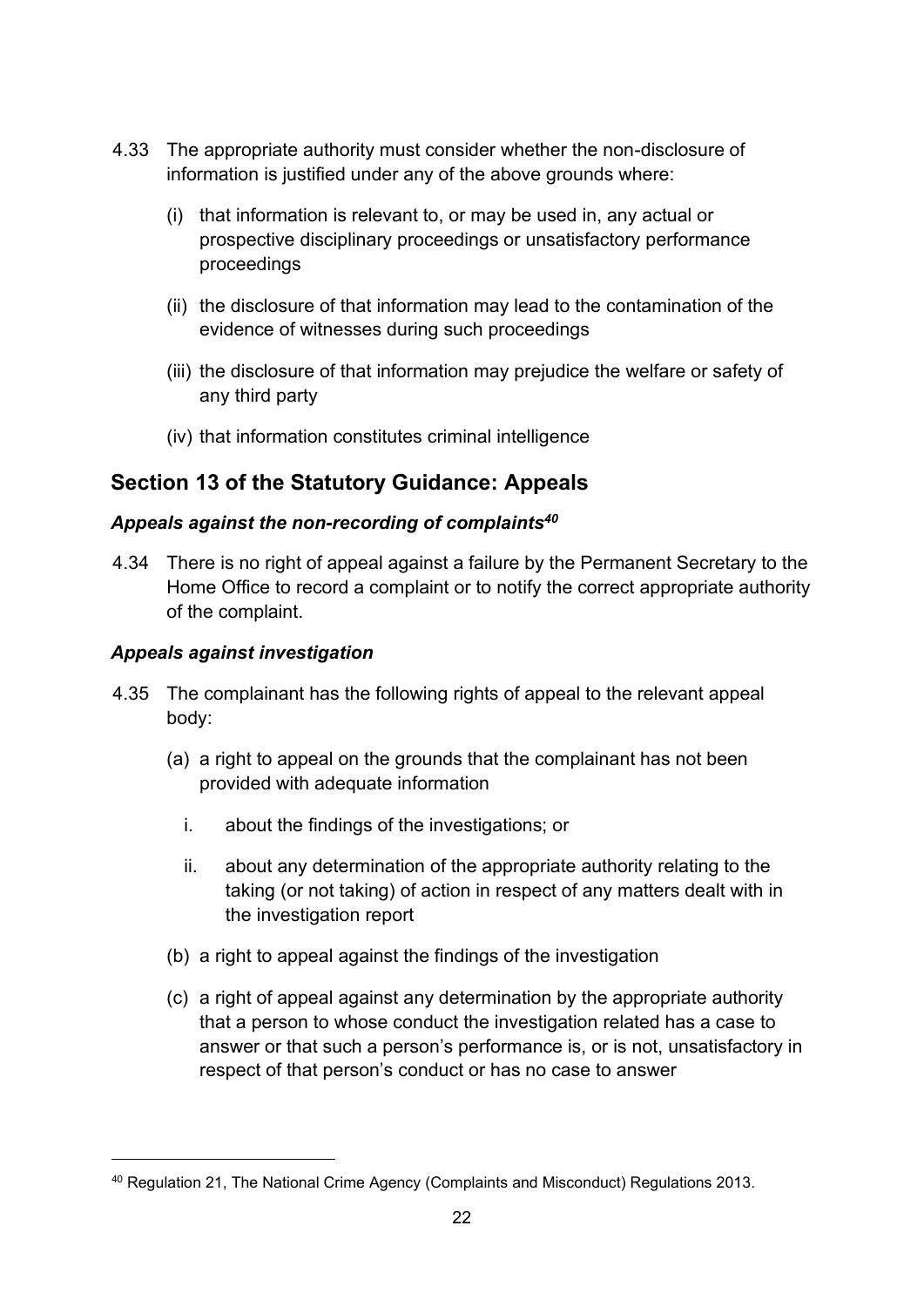- 4.33 The appropriate authority must consider whether the non-disclosure of information is justified under any of the above grounds where:
	- (i) that information is relevant to, or may be used in, any actual or prospective disciplinary proceedings or unsatisfactory performance proceedings
	- (ii) the disclosure of that information may lead to the contamination of the evidence of witnesses during such proceedings
	- (iii) the disclosure of that information may prejudice the welfare or safety of any third party
	- (iv) that information constitutes criminal intelligence

# **Section 13 of the Statutory Guidance: Appeals**

#### *Appeals against the non-recording of complaints<sup>40</sup>*

4.34 There is no right of appeal against a failure by the Permanent Secretary to the Home Office to record a complaint or to notify the correct appropriate authority of the complaint.

#### *Appeals against investigation*

- 4.35 The complainant has the following rights of appeal to the relevant appeal body:
	- (a) a right to appeal on the grounds that the complainant has not been provided with adequate information
		- i. about the findings of the investigations; or
		- ii. about any determination of the appropriate authority relating to the taking (or not taking) of action in respect of any matters dealt with in the investigation report
	- (b) a right to appeal against the findings of the investigation
	- (c) a right of appeal against any determination by the appropriate authority that a person to whose conduct the investigation related has a case to answer or that such a person's performance is, or is not, unsatisfactory in respect of that person's conduct or has no case to answer

<sup>40</sup> Regulation 21, The National Crime Agency (Complaints and Misconduct) Regulations 2013.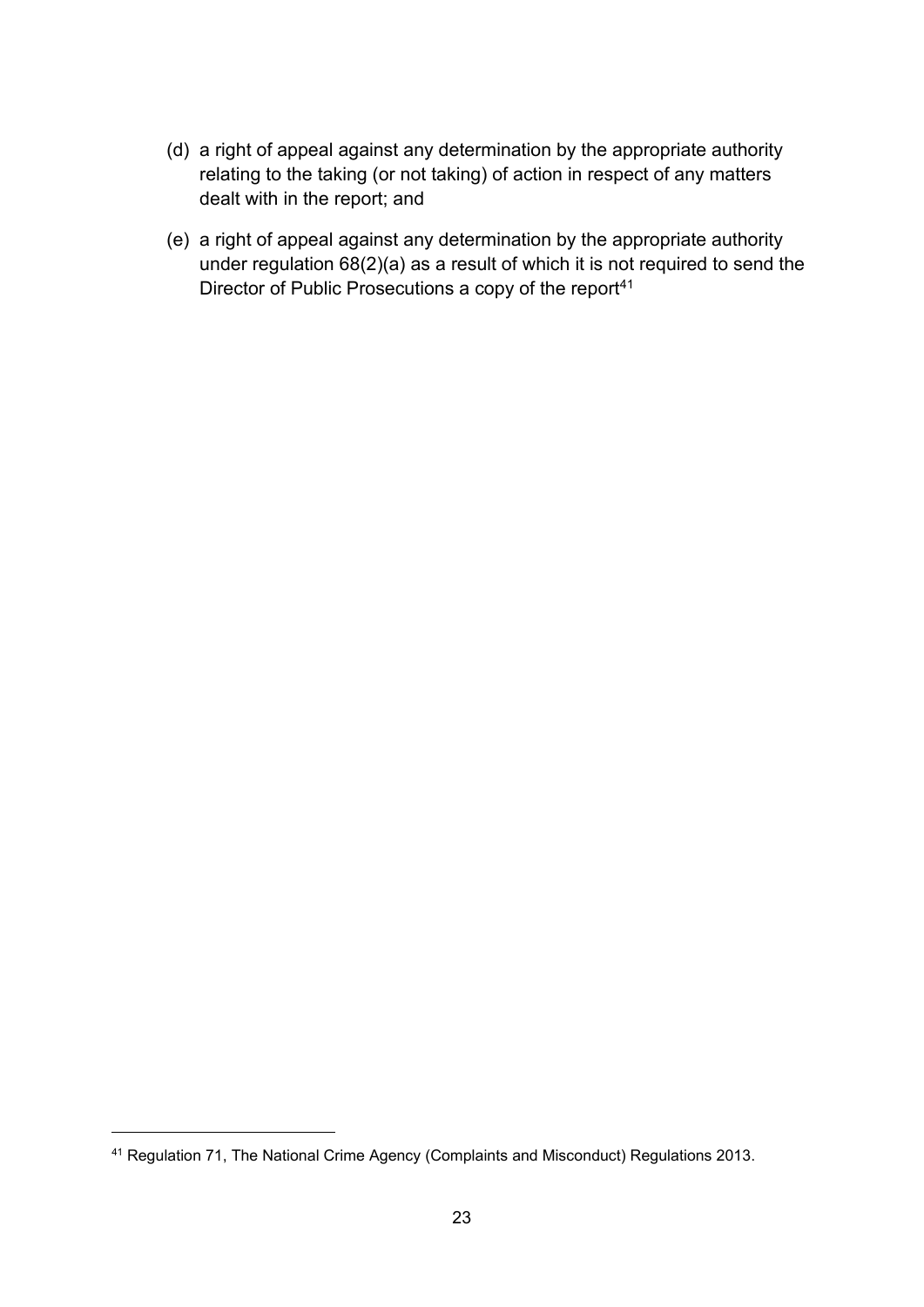- (d) a right of appeal against any determination by the appropriate authority relating to the taking (or not taking) of action in respect of any matters dealt with in the report; and
- (e) a right of appeal against any determination by the appropriate authority under regulation 68(2)(a) as a result of which it is not required to send the Director of Public Prosecutions a copy of the report<sup>41</sup>

<sup>41</sup> Regulation 71, The National Crime Agency (Complaints and Misconduct) Regulations 2013.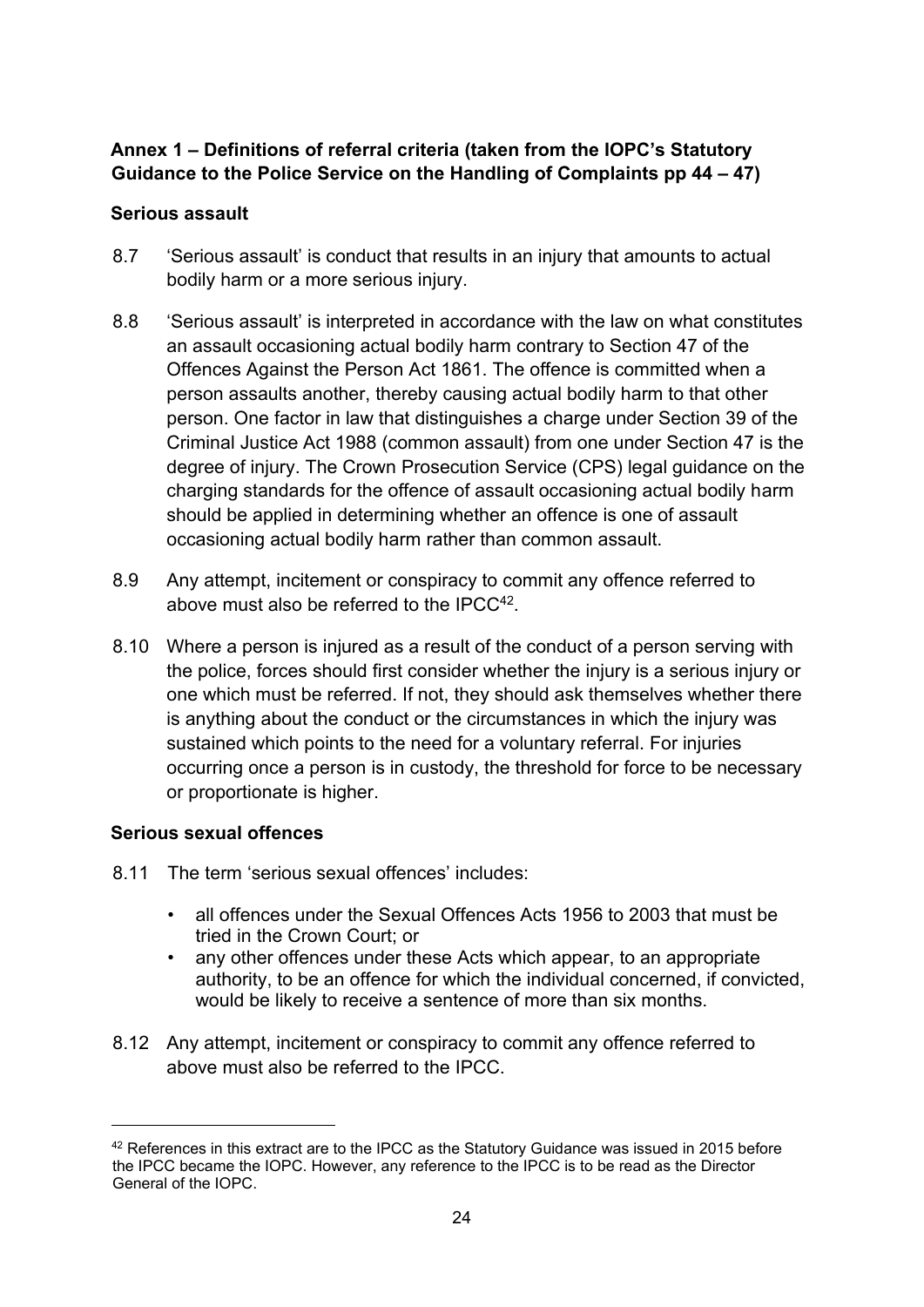### **Annex 1 – Definitions of referral criteria (taken from the IOPC's Statutory Guidance to the Police Service on the Handling of Complaints pp 44 – 47)**

### **Serious assault**

- 8.7 'Serious assault' is conduct that results in an injury that amounts to actual bodily harm or a more serious injury.
- 8.8 'Serious assault' is interpreted in accordance with the law on what constitutes an assault occasioning actual bodily harm contrary to Section 47 of the Offences Against the Person Act 1861. The offence is committed when a person assaults another, thereby causing actual bodily harm to that other person. One factor in law that distinguishes a charge under Section 39 of the Criminal Justice Act 1988 (common assault) from one under Section 47 is the degree of injury. The Crown Prosecution Service (CPS) legal guidance on the charging standards for the offence of assault occasioning actual bodily harm should be applied in determining whether an offence is one of assault occasioning actual bodily harm rather than common assault.
- 8.9 Any attempt, incitement or conspiracy to commit any offence referred to above must also be referred to the IPCC<sup>42</sup>.
- 8.10 Where a person is injured as a result of the conduct of a person serving with the police, forces should first consider whether the injury is a serious injury or one which must be referred. If not, they should ask themselves whether there is anything about the conduct or the circumstances in which the injury was sustained which points to the need for a voluntary referral. For injuries occurring once a person is in custody, the threshold for force to be necessary or proportionate is higher.

### **Serious sexual offences**

- 8.11 The term 'serious sexual offences' includes:
	- all offences under the Sexual Offences Acts 1956 to 2003 that must be tried in the Crown Court; or
	- any other offences under these Acts which appear, to an appropriate authority, to be an offence for which the individual concerned, if convicted, would be likely to receive a sentence of more than six months.
- 8.12 Any attempt, incitement or conspiracy to commit any offence referred to above must also be referred to the IPCC.

<sup>42</sup> References in this extract are to the IPCC as the Statutory Guidance was issued in 2015 before the IPCC became the IOPC. However, any reference to the IPCC is to be read as the Director General of the IOPC.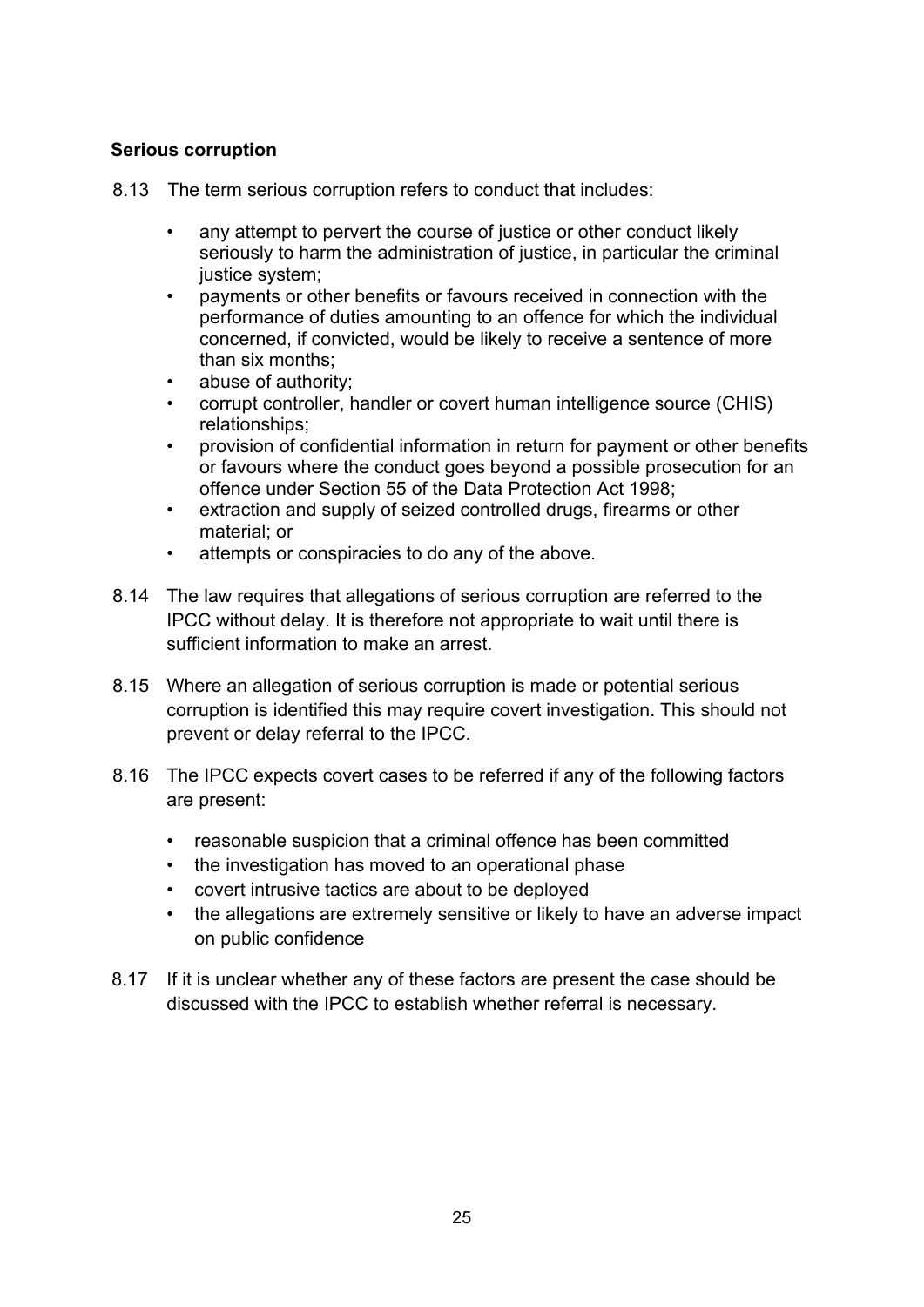#### **Serious corruption**

- 8.13 The term serious corruption refers to conduct that includes:
	- any attempt to pervert the course of justice or other conduct likely seriously to harm the administration of justice, in particular the criminal justice system;
	- payments or other benefits or favours received in connection with the performance of duties amounting to an offence for which the individual concerned, if convicted, would be likely to receive a sentence of more than six months;
	- abuse of authority;
	- corrupt controller, handler or covert human intelligence source (CHIS) relationships;
	- provision of confidential information in return for payment or other benefits or favours where the conduct goes beyond a possible prosecution for an offence under Section 55 of the Data Protection Act 1998;
	- extraction and supply of seized controlled drugs, firearms or other material; or
	- attempts or conspiracies to do any of the above.
- 8.14 The law requires that allegations of serious corruption are referred to the IPCC without delay. It is therefore not appropriate to wait until there is sufficient information to make an arrest.
- 8.15 Where an allegation of serious corruption is made or potential serious corruption is identified this may require covert investigation. This should not prevent or delay referral to the IPCC.
- 8.16 The IPCC expects covert cases to be referred if any of the following factors are present:
	- reasonable suspicion that a criminal offence has been committed
	- the investigation has moved to an operational phase
	- covert intrusive tactics are about to be deployed
	- the allegations are extremely sensitive or likely to have an adverse impact on public confidence
- 8.17 If it is unclear whether any of these factors are present the case should be discussed with the IPCC to establish whether referral is necessary.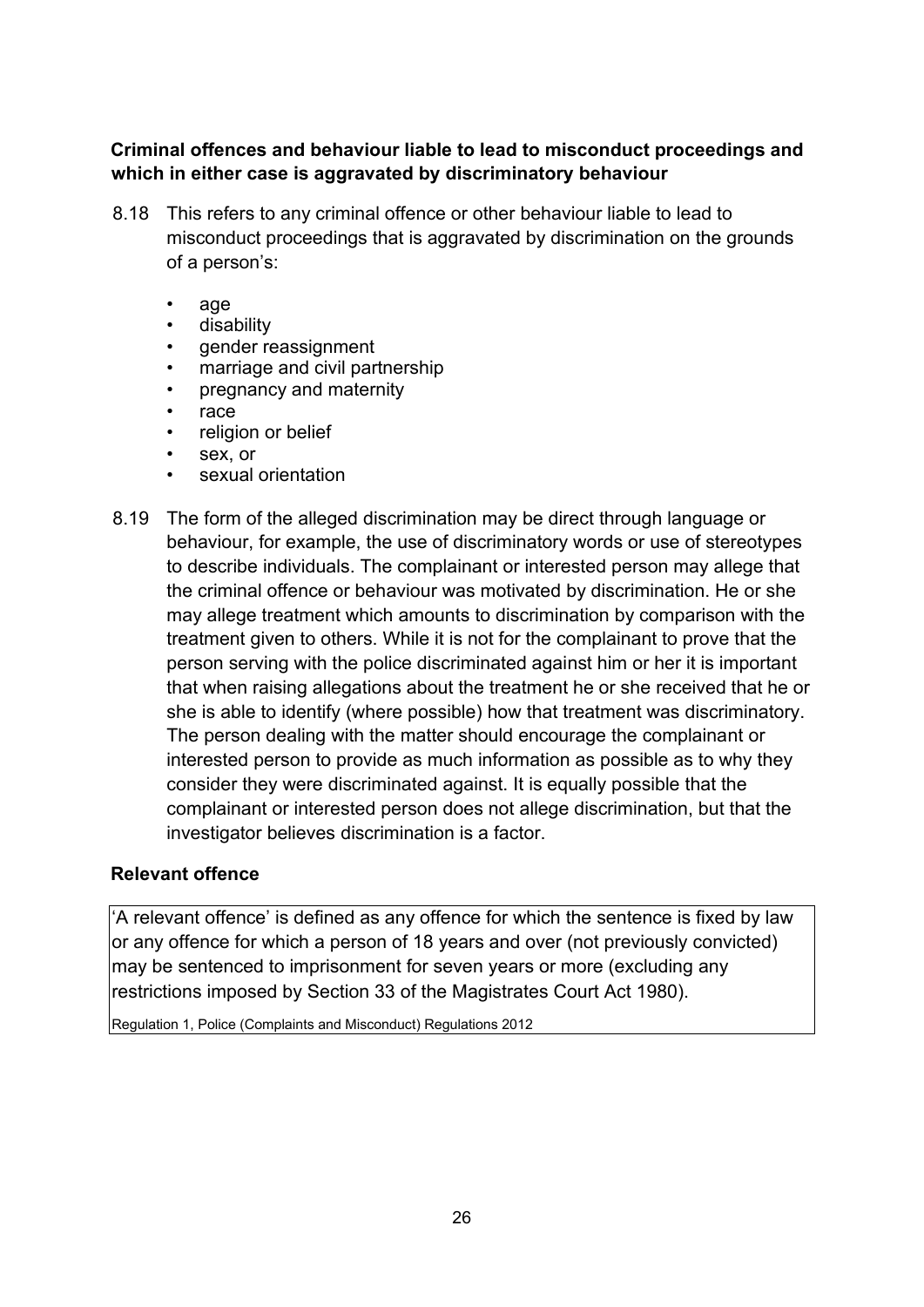### **Criminal offences and behaviour liable to lead to misconduct proceedings and which in either case is aggravated by discriminatory behaviour**

- 8.18 This refers to any criminal offence or other behaviour liable to lead to misconduct proceedings that is aggravated by discrimination on the grounds of a person's:
	- age
	- disability
	- gender reassignment
	- marriage and civil partnership
	- pregnancy and maternity
	- race
	- religion or belief
	- sex, or
	- sexual orientation
- 8.19 The form of the alleged discrimination may be direct through language or behaviour, for example, the use of discriminatory words or use of stereotypes to describe individuals. The complainant or interested person may allege that the criminal offence or behaviour was motivated by discrimination. He or she may allege treatment which amounts to discrimination by comparison with the treatment given to others. While it is not for the complainant to prove that the person serving with the police discriminated against him or her it is important that when raising allegations about the treatment he or she received that he or she is able to identify (where possible) how that treatment was discriminatory. The person dealing with the matter should encourage the complainant or interested person to provide as much information as possible as to why they consider they were discriminated against. It is equally possible that the complainant or interested person does not allege discrimination, but that the investigator believes discrimination is a factor.

#### **Relevant offence**

'A relevant offence' is defined as any offence for which the sentence is fixed by law or any offence for which a person of 18 years and over (not previously convicted) may be sentenced to imprisonment for seven years or more (excluding any restrictions imposed by Section 33 of the Magistrates Court Act 1980).

Regulation 1, Police (Complaints and Misconduct) Regulations 2012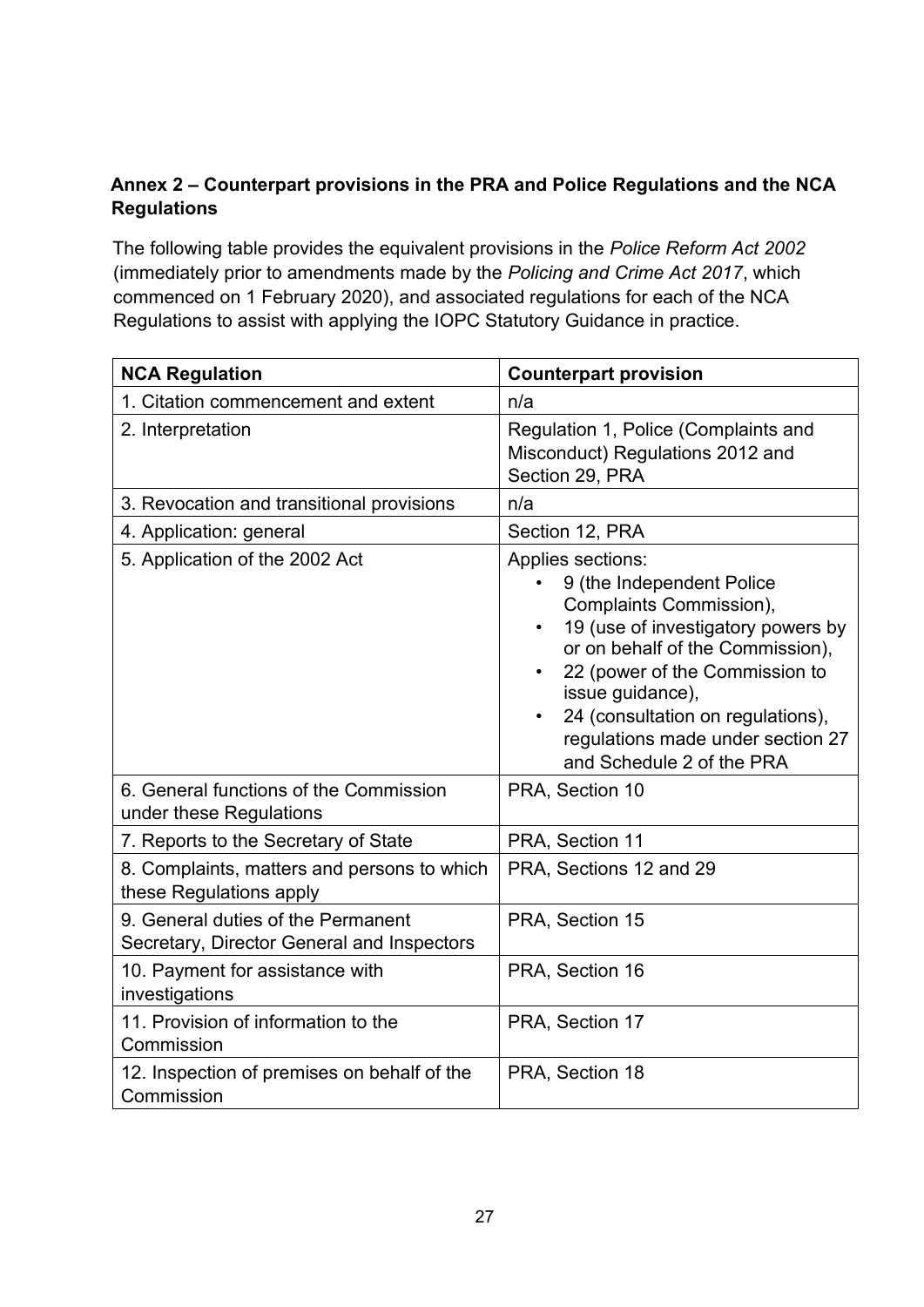# **Annex 2 – Counterpart provisions in the PRA and Police Regulations and the NCA Regulations**

The following table provides the equivalent provisions in the *Police Reform Act 2002* (immediately prior to amendments made by the *Policing and Crime Act 2017*, which commenced on 1 February 2020), and associated regulations for each of the NCA Regulations to assist with applying the IOPC Statutory Guidance in practice.

| <b>NCA Regulation</b>                                                            | <b>Counterpart provision</b>                                                                                                                                                                                                                                                                                     |
|----------------------------------------------------------------------------------|------------------------------------------------------------------------------------------------------------------------------------------------------------------------------------------------------------------------------------------------------------------------------------------------------------------|
| 1. Citation commencement and extent                                              | n/a                                                                                                                                                                                                                                                                                                              |
| 2. Interpretation                                                                | Regulation 1, Police (Complaints and<br>Misconduct) Regulations 2012 and<br>Section 29, PRA                                                                                                                                                                                                                      |
| 3. Revocation and transitional provisions                                        | n/a                                                                                                                                                                                                                                                                                                              |
| 4. Application: general                                                          | Section 12, PRA                                                                                                                                                                                                                                                                                                  |
| 5. Application of the 2002 Act                                                   | Applies sections:<br>9 (the Independent Police<br>Complaints Commission),<br>19 (use of investigatory powers by<br>or on behalf of the Commission),<br>22 (power of the Commission to<br>issue guidance),<br>24 (consultation on regulations),<br>regulations made under section 27<br>and Schedule 2 of the PRA |
| 6. General functions of the Commission<br>under these Regulations                | PRA, Section 10                                                                                                                                                                                                                                                                                                  |
| 7. Reports to the Secretary of State                                             | PRA, Section 11                                                                                                                                                                                                                                                                                                  |
| 8. Complaints, matters and persons to which<br>these Regulations apply           | PRA, Sections 12 and 29                                                                                                                                                                                                                                                                                          |
| 9. General duties of the Permanent<br>Secretary, Director General and Inspectors | PRA, Section 15                                                                                                                                                                                                                                                                                                  |
| 10. Payment for assistance with<br>investigations                                | PRA, Section 16                                                                                                                                                                                                                                                                                                  |
| 11. Provision of information to the<br>Commission                                | PRA, Section 17                                                                                                                                                                                                                                                                                                  |
| 12. Inspection of premises on behalf of the<br>Commission                        | PRA, Section 18                                                                                                                                                                                                                                                                                                  |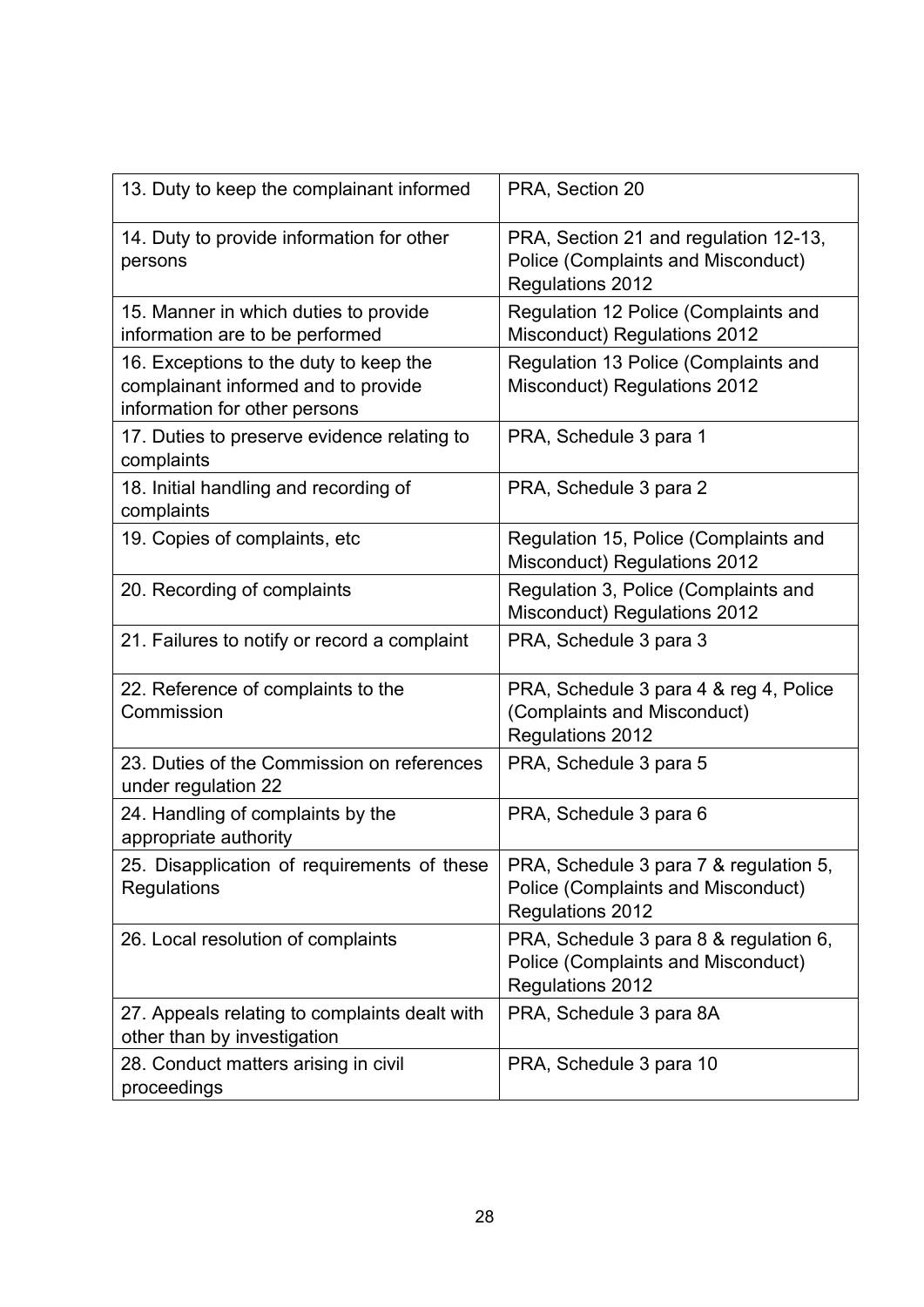| 13. Duty to keep the complainant informed                                                                      | PRA, Section 20                                                                                  |
|----------------------------------------------------------------------------------------------------------------|--------------------------------------------------------------------------------------------------|
| 14. Duty to provide information for other<br>persons                                                           | PRA, Section 21 and regulation 12-13,<br>Police (Complaints and Misconduct)<br>Regulations 2012  |
| 15. Manner in which duties to provide<br>information are to be performed                                       | Regulation 12 Police (Complaints and<br>Misconduct) Regulations 2012                             |
| 16. Exceptions to the duty to keep the<br>complainant informed and to provide<br>information for other persons | Regulation 13 Police (Complaints and<br><b>Misconduct) Regulations 2012</b>                      |
| 17. Duties to preserve evidence relating to<br>complaints                                                      | PRA, Schedule 3 para 1                                                                           |
| 18. Initial handling and recording of<br>complaints                                                            | PRA, Schedule 3 para 2                                                                           |
| 19. Copies of complaints, etc                                                                                  | Regulation 15, Police (Complaints and<br><b>Misconduct) Regulations 2012</b>                     |
| 20. Recording of complaints                                                                                    | Regulation 3, Police (Complaints and<br><b>Misconduct) Regulations 2012</b>                      |
| 21. Failures to notify or record a complaint                                                                   | PRA, Schedule 3 para 3                                                                           |
| 22. Reference of complaints to the<br>Commission                                                               | PRA, Schedule 3 para 4 & reg 4, Police<br>(Complaints and Misconduct)<br><b>Regulations 2012</b> |
| 23. Duties of the Commission on references<br>under regulation 22                                              | PRA, Schedule 3 para 5                                                                           |
| 24. Handling of complaints by the<br>appropriate authority                                                     | PRA, Schedule 3 para 6                                                                           |
| 25. Disapplication of requirements of these<br>Regulations                                                     | PRA, Schedule 3 para 7 & regulation 5,<br>Police (Complaints and Misconduct)<br>Regulations 2012 |
| 26. Local resolution of complaints                                                                             | PRA, Schedule 3 para 8 & regulation 6,<br>Police (Complaints and Misconduct)<br>Regulations 2012 |
| 27. Appeals relating to complaints dealt with<br>other than by investigation                                   | PRA, Schedule 3 para 8A                                                                          |
| 28. Conduct matters arising in civil<br>proceedings                                                            | PRA, Schedule 3 para 10                                                                          |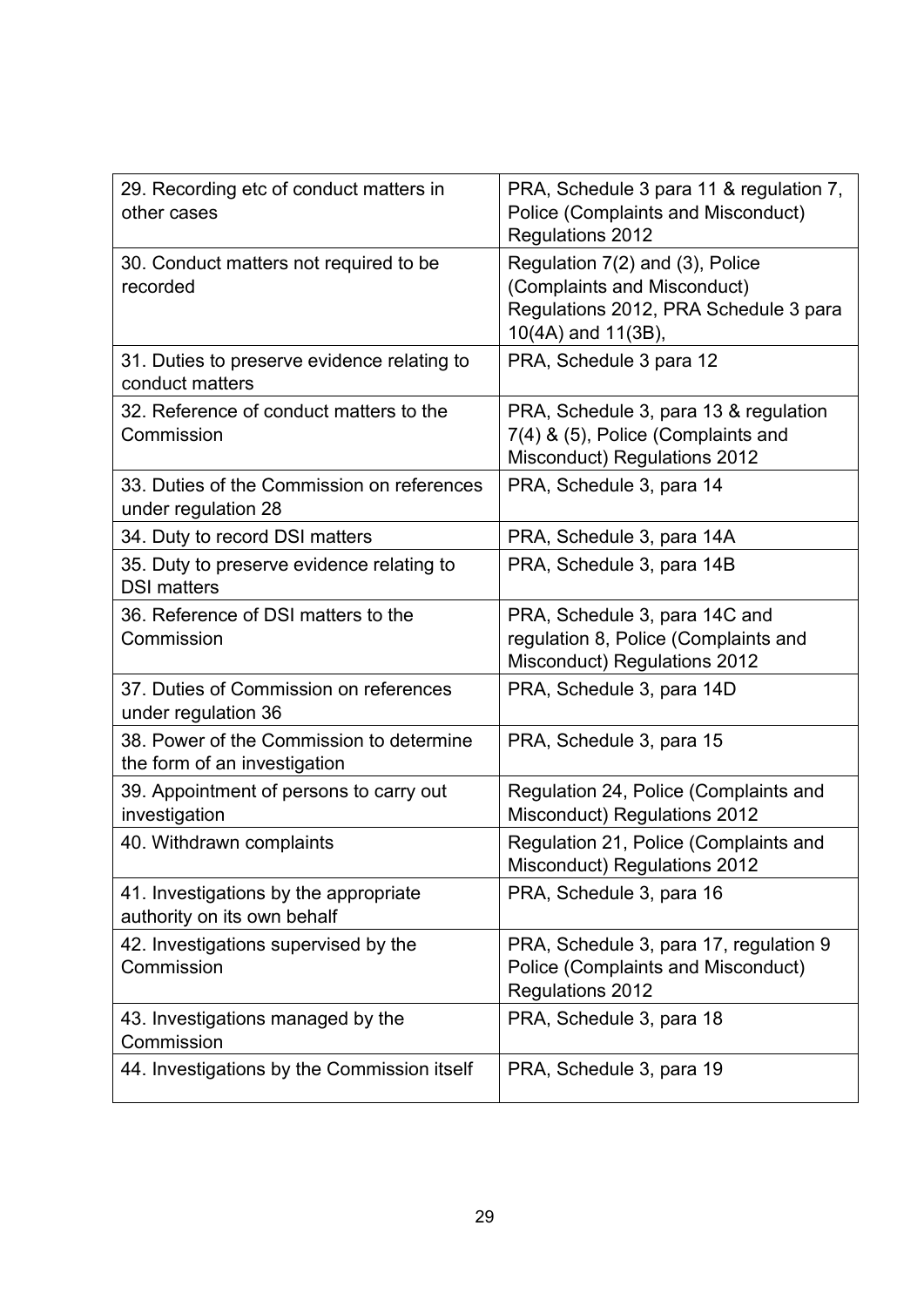| 29. Recording etc of conduct matters in<br>other cases                   | PRA, Schedule 3 para 11 & regulation 7,<br><b>Police (Complaints and Misconduct)</b><br><b>Regulations 2012</b>               |
|--------------------------------------------------------------------------|-------------------------------------------------------------------------------------------------------------------------------|
| 30. Conduct matters not required to be<br>recorded                       | Regulation 7(2) and (3), Police<br>(Complaints and Misconduct)<br>Regulations 2012, PRA Schedule 3 para<br>10(4A) and 11(3B), |
| 31. Duties to preserve evidence relating to<br>conduct matters           | PRA, Schedule 3 para 12                                                                                                       |
| 32. Reference of conduct matters to the<br>Commission                    | PRA, Schedule 3, para 13 & regulation<br>7(4) & (5), Police (Complaints and<br><b>Misconduct) Regulations 2012</b>            |
| 33. Duties of the Commission on references<br>under regulation 28        | PRA, Schedule 3, para 14                                                                                                      |
| 34. Duty to record DSI matters                                           | PRA, Schedule 3, para 14A                                                                                                     |
| 35. Duty to preserve evidence relating to<br><b>DSI matters</b>          | PRA, Schedule 3, para 14B                                                                                                     |
| 36. Reference of DSI matters to the<br>Commission                        | PRA, Schedule 3, para 14C and<br>regulation 8, Police (Complaints and<br><b>Misconduct) Regulations 2012</b>                  |
| 37. Duties of Commission on references<br>under regulation 36            | PRA, Schedule 3, para 14D                                                                                                     |
| 38. Power of the Commission to determine<br>the form of an investigation | PRA, Schedule 3, para 15                                                                                                      |
| 39. Appointment of persons to carry out<br>investigation                 | Regulation 24, Police (Complaints and<br><b>Misconduct) Regulations 2012</b>                                                  |
| 40. Withdrawn complaints                                                 | Regulation 21, Police (Complaints and<br><b>Misconduct) Regulations 2012</b>                                                  |
| 41. Investigations by the appropriate<br>authority on its own behalf     | PRA, Schedule 3, para 16                                                                                                      |
| 42. Investigations supervised by the<br>Commission                       | PRA, Schedule 3, para 17, regulation 9<br>Police (Complaints and Misconduct)<br>Regulations 2012                              |
| 43. Investigations managed by the<br>Commission                          | PRA, Schedule 3, para 18                                                                                                      |
| 44. Investigations by the Commission itself                              | PRA, Schedule 3, para 19                                                                                                      |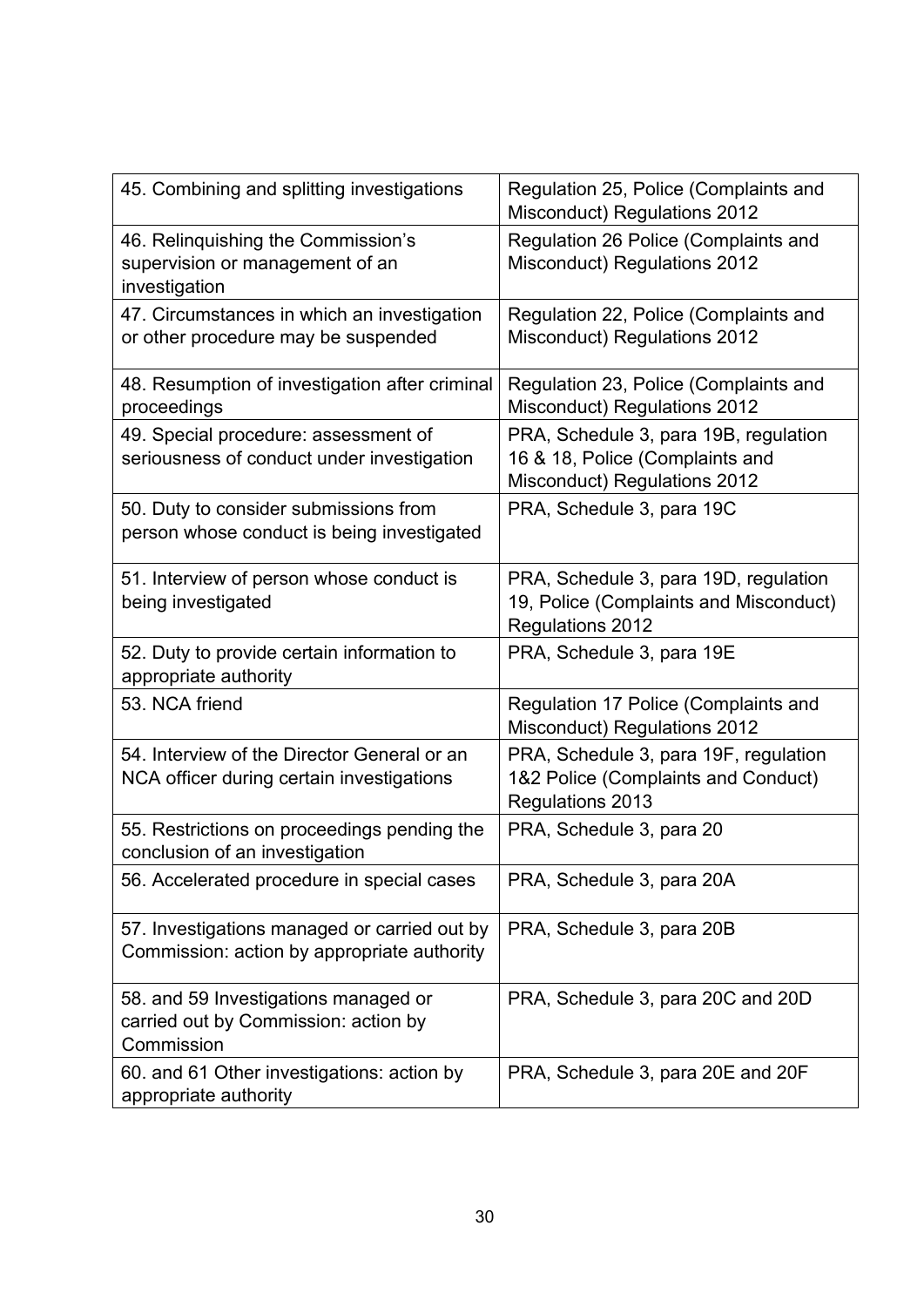| 45. Combining and splitting investigations                                                  | Regulation 25, Police (Complaints and<br><b>Misconduct) Regulations 2012</b>                                    |
|---------------------------------------------------------------------------------------------|-----------------------------------------------------------------------------------------------------------------|
| 46. Relinquishing the Commission's<br>supervision or management of an<br>investigation      | Regulation 26 Police (Complaints and<br><b>Misconduct) Regulations 2012</b>                                     |
| 47. Circumstances in which an investigation<br>or other procedure may be suspended          | Regulation 22, Police (Complaints and<br><b>Misconduct) Regulations 2012</b>                                    |
| 48. Resumption of investigation after criminal<br>proceedings                               | Regulation 23, Police (Complaints and<br><b>Misconduct) Regulations 2012</b>                                    |
| 49. Special procedure: assessment of<br>seriousness of conduct under investigation          | PRA, Schedule 3, para 19B, regulation<br>16 & 18, Police (Complaints and<br><b>Misconduct) Regulations 2012</b> |
| 50. Duty to consider submissions from<br>person whose conduct is being investigated         | PRA, Schedule 3, para 19C                                                                                       |
| 51. Interview of person whose conduct is<br>being investigated                              | PRA, Schedule 3, para 19D, regulation<br>19, Police (Complaints and Misconduct)<br><b>Regulations 2012</b>      |
| 52. Duty to provide certain information to<br>appropriate authority                         | PRA, Schedule 3, para 19E                                                                                       |
| 53. NCA friend                                                                              | Regulation 17 Police (Complaints and<br><b>Misconduct) Regulations 2012</b>                                     |
| 54. Interview of the Director General or an<br>NCA officer during certain investigations    | PRA, Schedule 3, para 19F, regulation<br>1&2 Police (Complaints and Conduct)<br><b>Regulations 2013</b>         |
| 55. Restrictions on proceedings pending the<br>conclusion of an investigation               | PRA, Schedule 3, para 20                                                                                        |
| 56. Accelerated procedure in special cases                                                  | PRA, Schedule 3, para 20A                                                                                       |
| 57. Investigations managed or carried out by<br>Commission: action by appropriate authority | PRA, Schedule 3, para 20B                                                                                       |
| 58. and 59 Investigations managed or<br>carried out by Commission: action by<br>Commission  | PRA, Schedule 3, para 20C and 20D                                                                               |
| 60. and 61 Other investigations: action by<br>appropriate authority                         | PRA, Schedule 3, para 20E and 20F                                                                               |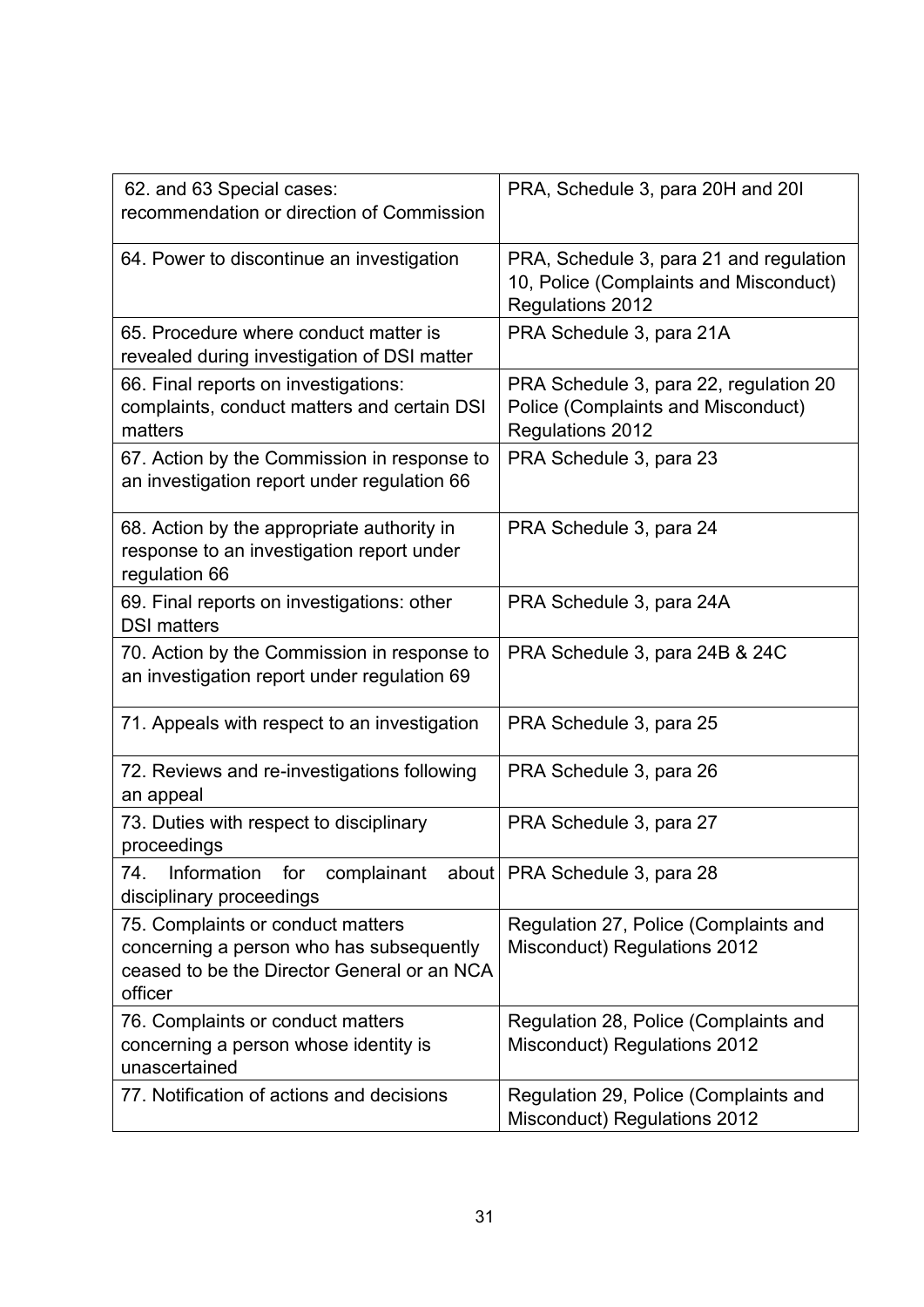| 62. and 63 Special cases:<br>recommendation or direction of Commission                                                                  | PRA, Schedule 3, para 20H and 20I                                                                     |
|-----------------------------------------------------------------------------------------------------------------------------------------|-------------------------------------------------------------------------------------------------------|
| 64. Power to discontinue an investigation                                                                                               | PRA, Schedule 3, para 21 and regulation<br>10, Police (Complaints and Misconduct)<br>Regulations 2012 |
| 65. Procedure where conduct matter is<br>revealed during investigation of DSI matter                                                    | PRA Schedule 3, para 21A                                                                              |
| 66. Final reports on investigations:<br>complaints, conduct matters and certain DSI<br>matters                                          | PRA Schedule 3, para 22, regulation 20<br>Police (Complaints and Misconduct)<br>Regulations 2012      |
| 67. Action by the Commission in response to<br>an investigation report under regulation 66                                              | PRA Schedule 3, para 23                                                                               |
| 68. Action by the appropriate authority in<br>response to an investigation report under<br>regulation 66                                | PRA Schedule 3, para 24                                                                               |
| 69. Final reports on investigations: other<br><b>DSI matters</b>                                                                        | PRA Schedule 3, para 24A                                                                              |
| 70. Action by the Commission in response to<br>an investigation report under regulation 69                                              | PRA Schedule 3, para 24B & 24C                                                                        |
| 71. Appeals with respect to an investigation                                                                                            | PRA Schedule 3, para 25                                                                               |
| 72. Reviews and re-investigations following<br>an appeal                                                                                | PRA Schedule 3, para 26                                                                               |
| 73. Duties with respect to disciplinary<br>proceedings                                                                                  | PRA Schedule 3, para 27                                                                               |
| for<br>complainant<br>74.<br>Information<br>disciplinary proceedings                                                                    | about   PRA Schedule 3, para 28                                                                       |
| 75. Complaints or conduct matters<br>concerning a person who has subsequently<br>ceased to be the Director General or an NCA<br>officer | Regulation 27, Police (Complaints and<br><b>Misconduct) Regulations 2012</b>                          |
| 76. Complaints or conduct matters<br>concerning a person whose identity is<br>unascertained                                             | Regulation 28, Police (Complaints and<br><b>Misconduct) Regulations 2012</b>                          |
| 77. Notification of actions and decisions                                                                                               | Regulation 29, Police (Complaints and<br><b>Misconduct) Regulations 2012</b>                          |